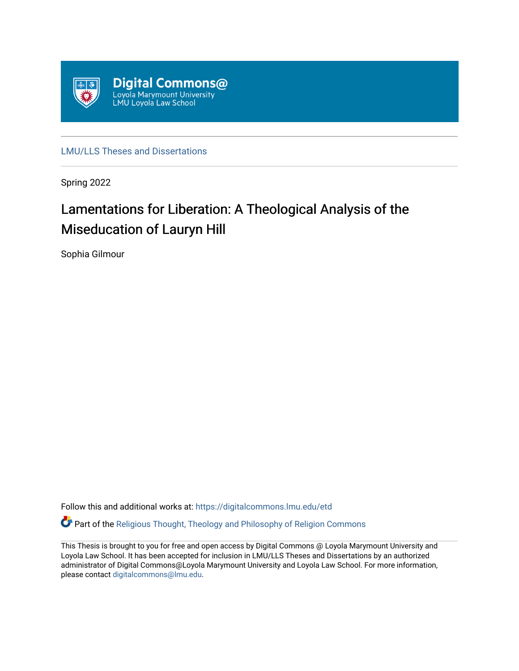

[LMU/LLS Theses and Dissertations](https://digitalcommons.lmu.edu/etd)

Spring 2022

# Lamentations for Liberation: A Theological Analysis of the Miseducation of Lauryn Hill

Sophia Gilmour

Follow this and additional works at: [https://digitalcommons.lmu.edu/etd](https://digitalcommons.lmu.edu/etd?utm_source=digitalcommons.lmu.edu%2Fetd%2F1141&utm_medium=PDF&utm_campaign=PDFCoverPages)  Part of the [Religious Thought, Theology and Philosophy of Religion Commons](https://network.bepress.com/hgg/discipline/544?utm_source=digitalcommons.lmu.edu%2Fetd%2F1141&utm_medium=PDF&utm_campaign=PDFCoverPages) 

This Thesis is brought to you for free and open access by Digital Commons @ Loyola Marymount University and Loyola Law School. It has been accepted for inclusion in LMU/LLS Theses and Dissertations by an authorized administrator of Digital Commons@Loyola Marymount University and Loyola Law School. For more information, please contact [digitalcommons@lmu.edu](mailto:digitalcommons@lmu.edu).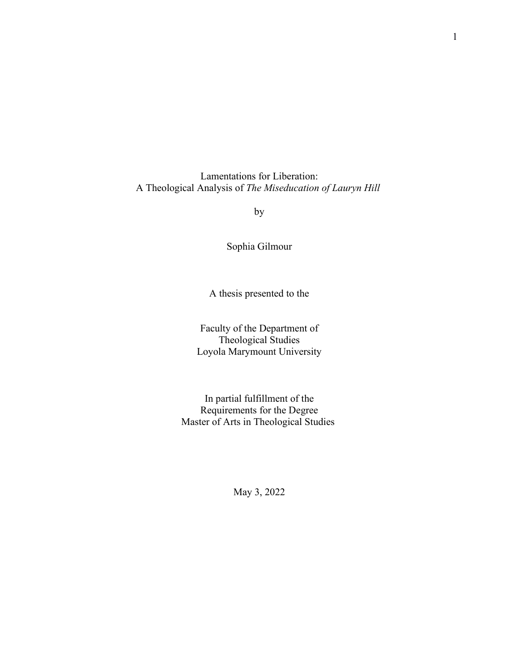Lamentations for Liberation: A Theological Analysis of *The Miseducation of Lauryn Hill* 

by

Sophia Gilmour

A thesis presented to the

Faculty of the Department of Theological Studies Loyola Marymount University

In partial fulfillment of the Requirements for the Degree Master of Arts in Theological Studies

May 3, 2022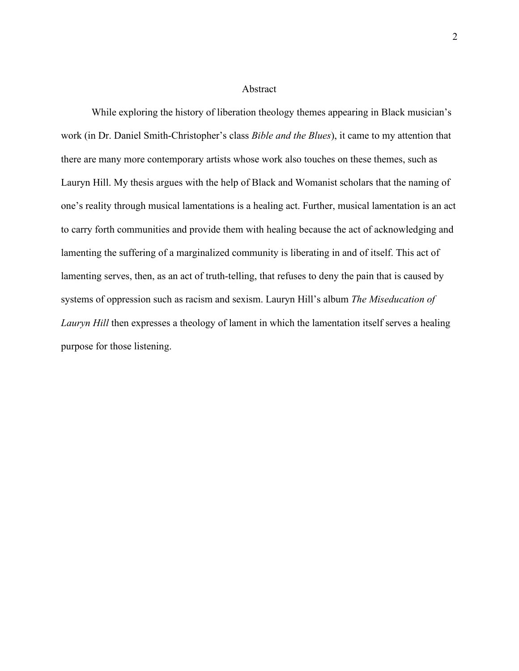# Abstract

While exploring the history of liberation theology themes appearing in Black musician's work (in Dr. Daniel Smith-Christopher's class *Bible and the Blues*), it came to my attention that there are many more contemporary artists whose work also touches on these themes, such as Lauryn Hill. My thesis argues with the help of Black and Womanist scholars that the naming of one's reality through musical lamentations is a healing act. Further, musical lamentation is an act to carry forth communities and provide them with healing because the act of acknowledging and lamenting the suffering of a marginalized community is liberating in and of itself. This act of lamenting serves, then, as an act of truth-telling, that refuses to deny the pain that is caused by systems of oppression such as racism and sexism. Lauryn Hill's album *The Miseducation of Lauryn Hill* then expresses a theology of lament in which the lamentation itself serves a healing purpose for those listening.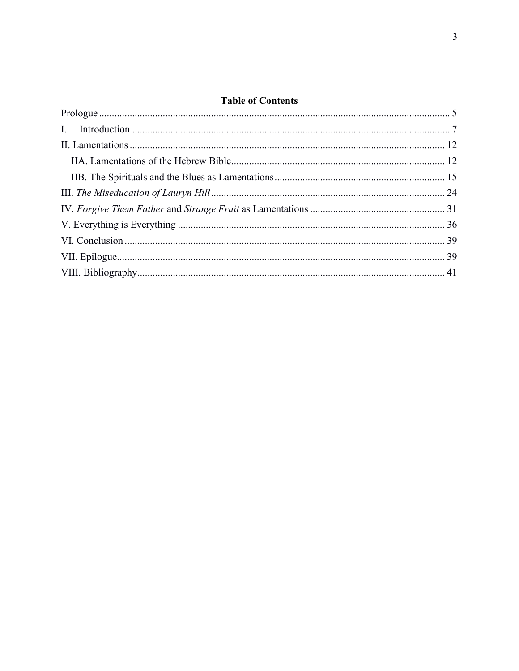# **Table of Contents**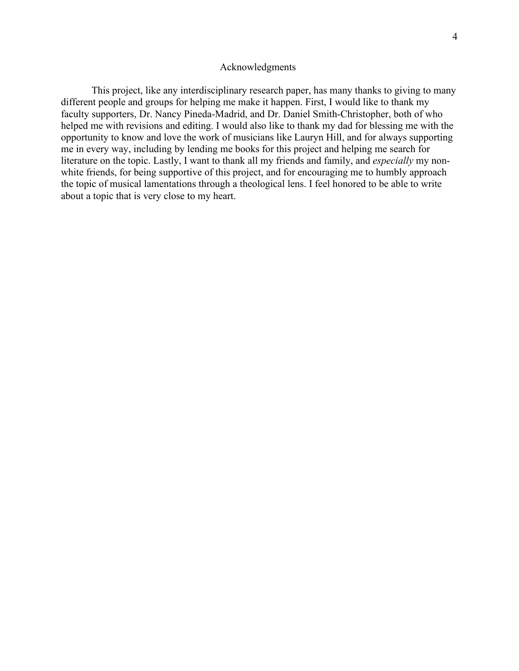## Acknowledgments

 This project, like any interdisciplinary research paper, has many thanks to giving to many different people and groups for helping me make it happen. First, I would like to thank my faculty supporters, Dr. Nancy Pineda-Madrid, and Dr. Daniel Smith-Christopher, both of who helped me with revisions and editing. I would also like to thank my dad for blessing me with the opportunity to know and love the work of musicians like Lauryn Hill, and for always supporting me in every way, including by lending me books for this project and helping me search for literature on the topic. Lastly, I want to thank all my friends and family, and *especially* my nonwhite friends, for being supportive of this project, and for encouraging me to humbly approach the topic of musical lamentations through a theological lens. I feel honored to be able to write about a topic that is very close to my heart.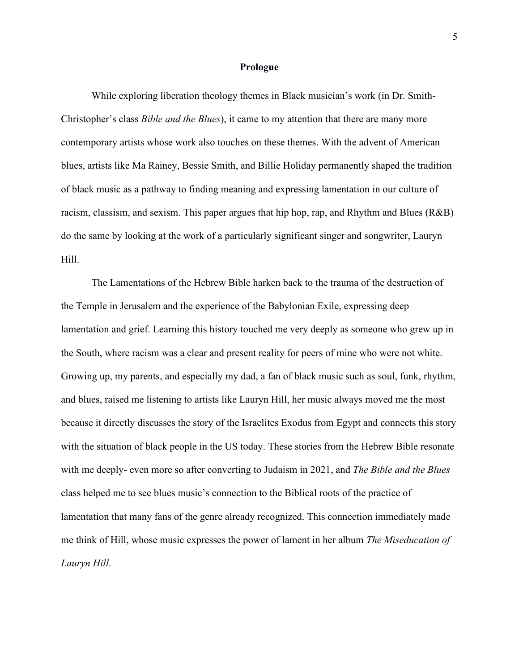#### **Prologue**

<span id="page-5-0"></span>While exploring liberation theology themes in Black musician's work (in Dr. Smith-Christopher's class *Bible and the Blues*), it came to my attention that there are many more contemporary artists whose work also touches on these themes. With the advent of American blues, artists like Ma Rainey, Bessie Smith, and Billie Holiday permanently shaped the tradition of black music as a pathway to finding meaning and expressing lamentation in our culture of racism, classism, and sexism. This paper argues that hip hop, rap, and Rhythm and Blues (R&B) do the same by looking at the work of a particularly significant singer and songwriter, Lauryn Hill.

The Lamentations of the Hebrew Bible harken back to the trauma of the destruction of the Temple in Jerusalem and the experience of the Babylonian Exile, expressing deep lamentation and grief. Learning this history touched me very deeply as someone who grew up in the South, where racism was a clear and present reality for peers of mine who were not white. Growing up, my parents, and especially my dad, a fan of black music such as soul, funk, rhythm, and blues, raised me listening to artists like Lauryn Hill, her music always moved me the most because it directly discusses the story of the Israelites Exodus from Egypt and connects this story with the situation of black people in the US today. These stories from the Hebrew Bible resonate with me deeply- even more so after converting to Judaism in 2021, and *The Bible and the Blues* class helped me to see blues music's connection to the Biblical roots of the practice of lamentation that many fans of the genre already recognized. This connection immediately made me think of Hill, whose music expresses the power of lament in her album *The Miseducation of Lauryn Hill*.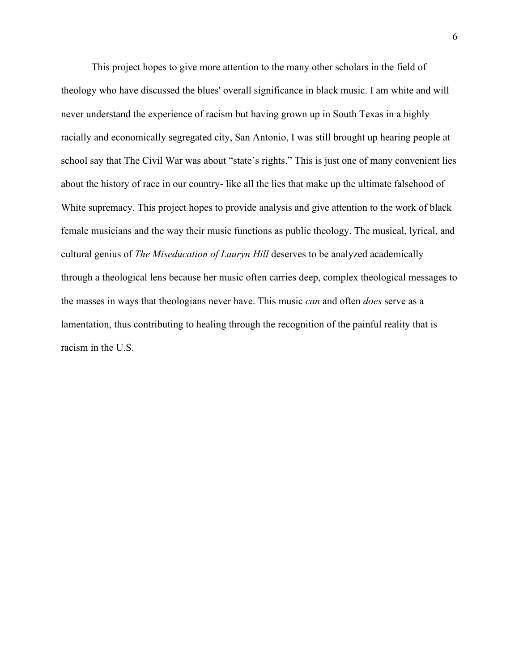This project hopes to give more attention to the many other scholars in the field of theology who have discussed the blues' overall significance in black music. I am white and will never understand the experience of racism but having grown up in South Texas in a highly racially and economically segregated city, San Antonio, I was still brought up hearing people at school say that The Civil War was about "state's rights." This is just one of many convenient lies about the history of race in our country- like all the lies that make up the ultimate falsehood of White supremacy. This project hopes to provide analysis and give attention to the work of black female musicians and the way their music functions as public theology. The musical, lyrical, and cultural genius of *The Miseducation of Lauryn Hill* deserves to be analyzed academically through a theological lens because her music often carries deep, complex theological messages to the masses in ways that theologians never have. This music *can* and often *does* serve as a lamentation, thus contributing to healing through the recognition of the painful reality that is racism in the U.S.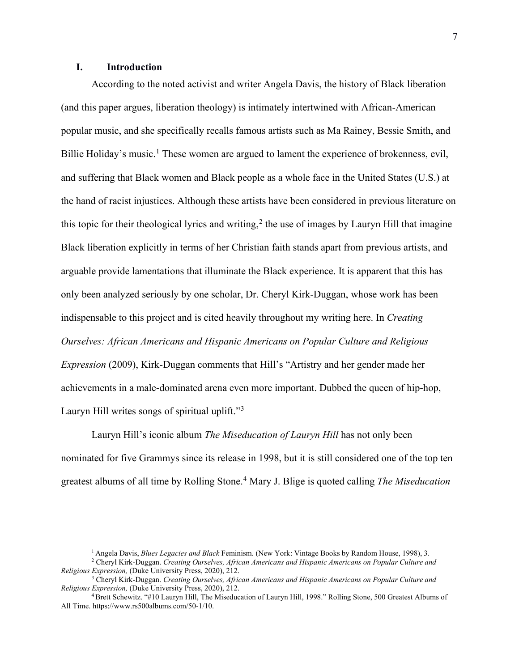# <span id="page-7-0"></span>**I. Introduction**

According to the noted activist and writer Angela Davis, the history of Black liberation (and this paper argues, liberation theology) is intimately intertwined with African-American popular music, and she specifically recalls famous artists such as Ma Rainey, Bessie Smith, and Billie Holiday's music.<sup>[1](#page-7-1)</sup> These women are argued to lament the experience of brokenness, evil, and suffering that Black women and Black people as a whole face in the United States (U.S.) at the hand of racist injustices. Although these artists have been considered in previous literature on this topic for their theological lyrics and writing,<sup>[2](#page-7-2)</sup> the use of images by Lauryn Hill that imagine Black liberation explicitly in terms of her Christian faith stands apart from previous artists, and arguable provide lamentations that illuminate the Black experience. It is apparent that this has only been analyzed seriously by one scholar, Dr. Cheryl Kirk-Duggan, whose work has been indispensable to this project and is cited heavily throughout my writing here. In *Creating Ourselves: African Americans and Hispanic Americans on Popular Culture and Religious Expression* (2009), Kirk-Duggan comments that Hill's "Artistry and her gender made her achievements in a male-dominated arena even more important. Dubbed the queen of hip-hop, Lauryn Hill writes songs of spiritual uplift."<sup>[3](#page-7-3)</sup>

Lauryn Hill's iconic album *The Miseducation of Lauryn Hill* has not only been nominated for five Grammys since its release in 1998, but it is still considered one of the top ten greatest albums of all time by Rolling Stone.[4](#page-7-4) Mary J. Blige is quoted calling *The Miseducation*

<sup>1</sup> Angela Davis, *Blues Legacies and Black* Feminism. (New York: Vintage Books by Random House, 1998), 3.

<span id="page-7-2"></span><span id="page-7-1"></span><sup>2</sup> Cheryl Kirk-Duggan. *Creating Ourselves, African Americans and Hispanic Americans on Popular Culture and Religious Expression,* (Duke University Press, 2020), 212.

<span id="page-7-3"></span><sup>3</sup> Cheryl Kirk-Duggan. *Creating Ourselves, African Americans and Hispanic Americans on Popular Culture and Religious Expression,* (Duke University Press, 2020), 212.

<span id="page-7-4"></span><sup>4</sup> Brett Schewitz. "#10 Lauryn Hill, The Miseducation of Lauryn Hill, 1998." Rolling Stone, 500 Greatest Albums of All Time. https://www.rs500albums.com/50-1/10.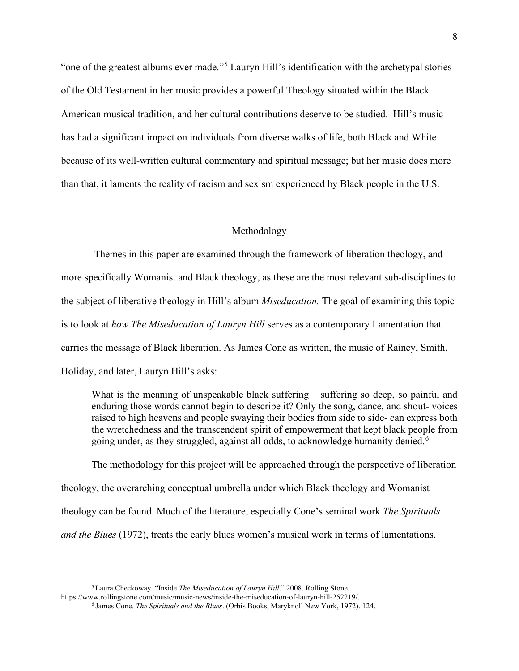"one of the greatest albums ever made."[5](#page-8-0) Lauryn Hill's identification with the archetypal stories of the Old Testament in her music provides a powerful Theology situated within the Black American musical tradition, and her cultural contributions deserve to be studied. Hill's music has had a significant impact on individuals from diverse walks of life, both Black and White because of its well-written cultural commentary and spiritual message; but her music does more than that, it laments the reality of racism and sexism experienced by Black people in the U.S.

# Methodology

 Themes in this paper are examined through the framework of liberation theology, and more specifically Womanist and Black theology, as these are the most relevant sub-disciplines to the subject of liberative theology in Hill's album *Miseducation.* The goal of examining this topic is to look at *how The Miseducation of Lauryn Hill* serves as a contemporary Lamentation that carries the message of Black liberation. As James Cone as written, the music of Rainey, Smith, Holiday, and later, Lauryn Hill's asks:

What is the meaning of unspeakable black suffering – suffering so deep, so painful and enduring those words cannot begin to describe it? Only the song, dance, and shout- voices raised to high heavens and people swaying their bodies from side to side- can express both the wretchedness and the transcendent spirit of empowerment that kept black people from going under, as they struggled, against all odds, to acknowledge humanity denied.<sup>[6](#page-8-1)</sup>

The methodology for this project will be approached through the perspective of liberation theology, the overarching conceptual umbrella under which Black theology and Womanist theology can be found. Much of the literature, especially Cone's seminal work *The Spirituals and the Blues* (1972), treats the early blues women's musical work in terms of lamentations.

<sup>5</sup> Laura Checkoway. "Inside *The Miseducation of Lauryn Hill*." 2008. Rolling Stone.

<span id="page-8-1"></span><span id="page-8-0"></span>https://www.rollingstone.com/music/music-news/inside-the-miseducation-of-lauryn-hill-252219/.

<sup>6</sup> James Cone. *The Spirituals and the Blues*. (Orbis Books, Maryknoll New York, 1972). 124.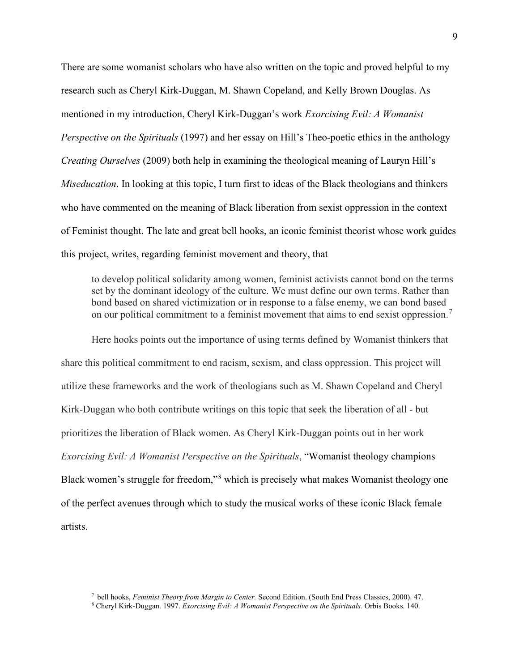There are some womanist scholars who have also written on the topic and proved helpful to my research such as Cheryl Kirk-Duggan, M. Shawn Copeland, and Kelly Brown Douglas. As mentioned in my introduction, Cheryl Kirk-Duggan's work *Exorcising Evil: A Womanist Perspective on the Spirituals* (1997) and her essay on Hill's Theo-poetic ethics in the anthology *Creating Ourselves* (2009) both help in examining the theological meaning of Lauryn Hill's *Miseducation*. In looking at this topic, I turn first to ideas of the Black theologians and thinkers who have commented on the meaning of Black liberation from sexist oppression in the context of Feminist thought. The late and great bell hooks, an iconic feminist theorist whose work guides this project, writes, regarding feminist movement and theory, that

to develop political solidarity among women, feminist activists cannot bond on the terms set by the dominant ideology of the culture. We must define our own terms. Rather than bond based on shared victimization or in response to a false enemy, we can bond based on our political commitment to a feminist movement that aims to end sexist oppression.<sup>[7](#page-9-0)</sup>

Here hooks points out the importance of using terms defined by Womanist thinkers that share this political commitment to end racism, sexism, and class oppression. This project will utilize these frameworks and the work of theologians such as M. Shawn Copeland and Cheryl Kirk-Duggan who both contribute writings on this topic that seek the liberation of all - but prioritizes the liberation of Black women. As Cheryl Kirk-Duggan points out in her work *Exorcising Evil: A Womanist Perspective on the Spirituals*, "Womanist theology champions Black women's struggle for freedom,"<sup>[8](#page-9-1)</sup> which is precisely what makes Womanist theology one of the perfect avenues through which to study the musical works of these iconic Black female artists.

<span id="page-9-0"></span><sup>&</sup>lt;sup>7</sup> bell hooks, *Feminist Theory from Margin to Center*. Second Edition. (South End Press Classics, 2000). 47.<br><sup>8</sup> Cheryl Kirk-Duggan. 1997. *Exorcising Evil: A Womanist Perspective on the Spirituals*. Orbis Books. 140.

<span id="page-9-1"></span>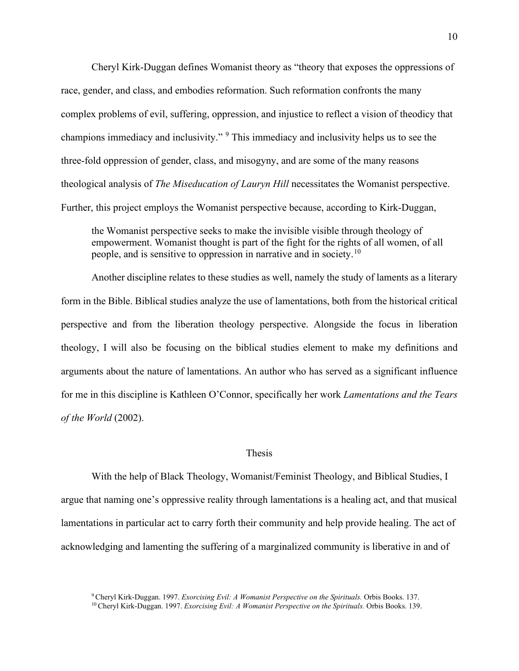Cheryl Kirk-Duggan defines Womanist theory as "theory that exposes the oppressions of race, gender, and class, and embodies reformation. Such reformation confronts the many complex problems of evil, suffering, oppression, and injustice to reflect a vision of theodicy that champions immediacy and inclusivity." <sup>[9](#page-10-0)</sup> This immediacy and inclusivity helps us to see the three-fold oppression of gender, class, and misogyny, and are some of the many reasons theological analysis of *The Miseducation of Lauryn Hill* necessitates the Womanist perspective. Further, this project employs the Womanist perspective because, according to Kirk-Duggan,

the Womanist perspective seeks to make the invisible visible through theology of empowerment. Womanist thought is part of the fight for the rights of all women, of all people, and is sensitive to oppression in narrative and in society.<sup>10</sup>

Another discipline relates to these studies as well, namely the study of laments as a literary form in the Bible. Biblical studies analyze the use of lamentations, both from the historical critical perspective and from the liberation theology perspective. Alongside the focus in liberation theology, I will also be focusing on the biblical studies element to make my definitions and arguments about the nature of lamentations. An author who has served as a significant influence for me in this discipline is Kathleen O'Connor, specifically her work *Lamentations and the Tears of the World* (2002).

# Thesis

With the help of Black Theology, Womanist/Feminist Theology, and Biblical Studies, I argue that naming one's oppressive reality through lamentations is a healing act, and that musical lamentations in particular act to carry forth their community and help provide healing. The act of acknowledging and lamenting the suffering of a marginalized community is liberative in and of

<span id="page-10-1"></span><span id="page-10-0"></span>9 Cheryl Kirk-Duggan. 1997. *Exorcising Evil: A Womanist Perspective on the Spirituals.* Orbis Books. 137. 10 Cheryl Kirk-Duggan. 1997. *Exorcising Evil: A Womanist Perspective on the Spirituals.* Orbis Books. 139.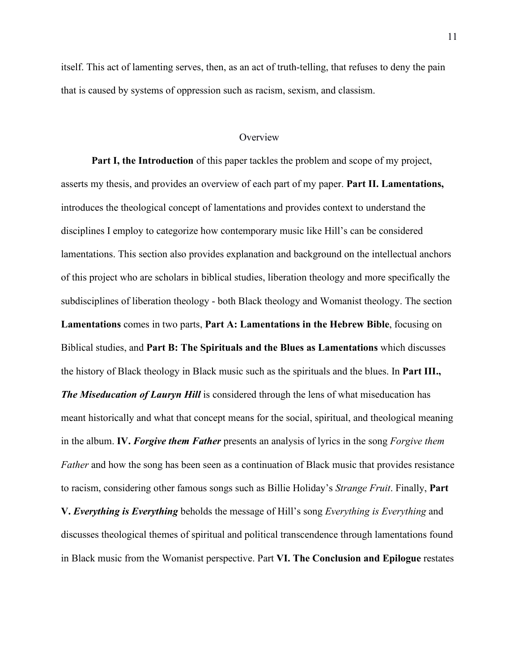itself. This act of lamenting serves, then, as an act of truth-telling, that refuses to deny the pain that is caused by systems of oppression such as racism, sexism, and classism.

#### **Overview**

**Part I, the Introduction** of this paper tackles the problem and scope of my project, asserts my thesis, and provides an overview of each part of my paper. **Part II. Lamentations,** introduces the theological concept of lamentations and provides context to understand the disciplines I employ to categorize how contemporary music like Hill's can be considered lamentations. This section also provides explanation and background on the intellectual anchors of this project who are scholars in biblical studies, liberation theology and more specifically the subdisciplines of liberation theology - both Black theology and Womanist theology. The section **Lamentations** comes in two parts, **Part A: Lamentations in the Hebrew Bible**, focusing on Biblical studies, and **Part B: The Spirituals and the Blues as Lamentations** which discusses the history of Black theology in Black music such as the spirituals and the blues. In **Part III.,**  *The Miseducation of Lauryn Hill* is considered through the lens of what miseducation has meant historically and what that concept means for the social, spiritual, and theological meaning in the album. **IV.** *Forgive them Father* presents an analysis of lyrics in the song *Forgive them Father* and how the song has been seen as a continuation of Black music that provides resistance to racism, considering other famous songs such as Billie Holiday's *Strange Fruit*. Finally, **Part V.** *Everything is Everything* beholds the message of Hill's song *Everything is Everything* and discusses theological themes of spiritual and political transcendence through lamentations found in Black music from the Womanist perspective. Part **VI. The Conclusion and Epilogue** restates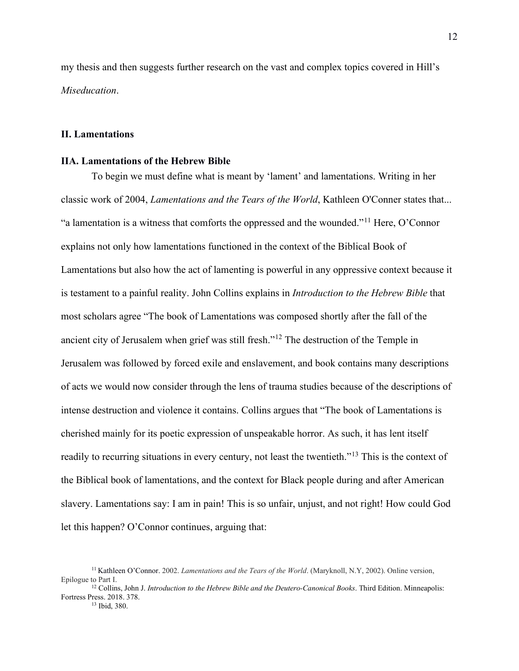my thesis and then suggests further research on the vast and complex topics covered in Hill's *Miseducation*.

#### <span id="page-12-0"></span>**II. Lamentations**

# <span id="page-12-1"></span>**IIA. Lamentations of the Hebrew Bible**

To begin we must define what is meant by 'lament' and lamentations. Writing in her classic work of 2004, *Lamentations and the Tears of the World*, Kathleen O'Conner states that... "a lamentation is a witness that comforts the oppressed and the wounded."<sup>[11](#page-12-2)</sup> Here, O'Connor explains not only how lamentations functioned in the context of the Biblical Book of Lamentations but also how the act of lamenting is powerful in any oppressive context because it is testament to a painful reality. John Collins explains in *Introduction to the Hebrew Bible* that most scholars agree "The book of Lamentations was composed shortly after the fall of the ancient city of Jerusalem when grief was still fresh."[12](#page-12-3) The destruction of the Temple in Jerusalem was followed by forced exile and enslavement, and book contains many descriptions of acts we would now consider through the lens of trauma studies because of the descriptions of intense destruction and violence it contains. Collins argues that "The book of Lamentations is cherished mainly for its poetic expression of unspeakable horror. As such, it has lent itself readily to recurring situations in every century, not least the twentieth."<sup>[13](#page-12-4)</sup> This is the context of the Biblical book of lamentations, and the context for Black people during and after American slavery. Lamentations say: I am in pain! This is so unfair, unjust, and not right! How could God let this happen? O'Connor continues, arguing that:

<span id="page-12-2"></span><sup>11</sup> Kathleen O'Connor. 2002. *Lamentations and the Tears of the World*. (Maryknoll, N.Y, 2002). Online version, Epilogue to Part I.

<span id="page-12-4"></span><span id="page-12-3"></span><sup>&</sup>lt;sup>12</sup> Collins, John J. *Introduction to the Hebrew Bible and the Deutero-Canonical Books*. Third Edition. Minneapolis: Fortress Press. 2018. 378.

<sup>13</sup> Ibid, 380.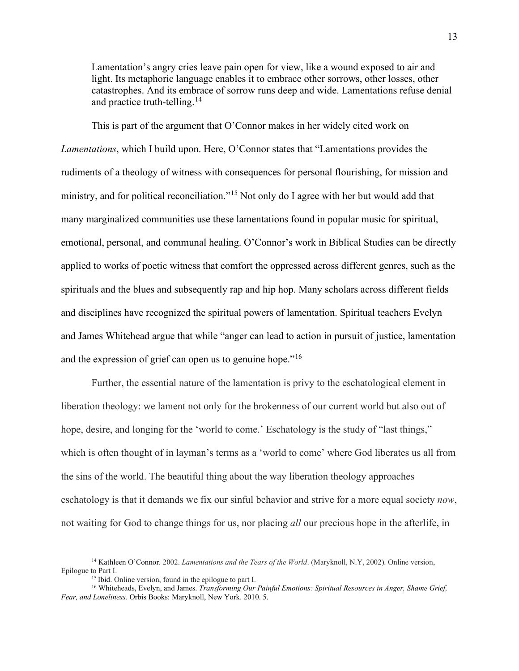Lamentation's angry cries leave pain open for view, like a wound exposed to air and light. Its metaphoric language enables it to embrace other sorrows, other losses, other catastrophes. And its embrace of sorrow runs deep and wide. Lamentations refuse denial and practice truth-telling.<sup>[14](#page-13-0)</sup>

This is part of the argument that O'Connor makes in her widely cited work on *Lamentations*, which I build upon. Here, O'Connor states that "Lamentations provides the rudiments of a theology of witness with consequences for personal flourishing, for mission and ministry, and for political reconciliation."<sup>15</sup> Not only do I agree with her but would add that many marginalized communities use these lamentations found in popular music for spiritual, emotional, personal, and communal healing. O'Connor's work in Biblical Studies can be directly applied to works of poetic witness that comfort the oppressed across different genres, such as the spirituals and the blues and subsequently rap and hip hop. Many scholars across different fields and disciplines have recognized the spiritual powers of lamentation. Spiritual teachers Evelyn and James Whitehead argue that while "anger can lead to action in pursuit of justice, lamentation and the expression of grief can open us to genuine hope."<sup>[16](#page-13-2)</sup>

Further, the essential nature of the lamentation is privy to the eschatological element in liberation theology: we lament not only for the brokenness of our current world but also out of hope, desire, and longing for the 'world to come.' Eschatology is the study of "last things," which is often thought of in layman's terms as a 'world to come' where God liberates us all from the sins of the world. The beautiful thing about the way liberation theology approaches eschatology is that it demands we fix our sinful behavior and strive for a more equal society *now*, not waiting for God to change things for us, nor placing *all* our precious hope in the afterlife, in

<span id="page-13-0"></span><sup>14</sup> Kathleen O'Connor. 2002. *Lamentations and the Tears of the World*. (Maryknoll, N.Y, 2002). Online version, Epilogue to Part I.<br><sup>15</sup> Ibid. Online version, found in the epilogue to part I.

<span id="page-13-2"></span><span id="page-13-1"></span><sup>&</sup>lt;sup>16</sup> Whiteheads, Evelyn, and James. *Transforming Our Painful Emotions: Spiritual Resources in Anger, Shame Grief, Fear, and Loneliness.* Orbis Books: Maryknoll, New York. 2010. 5.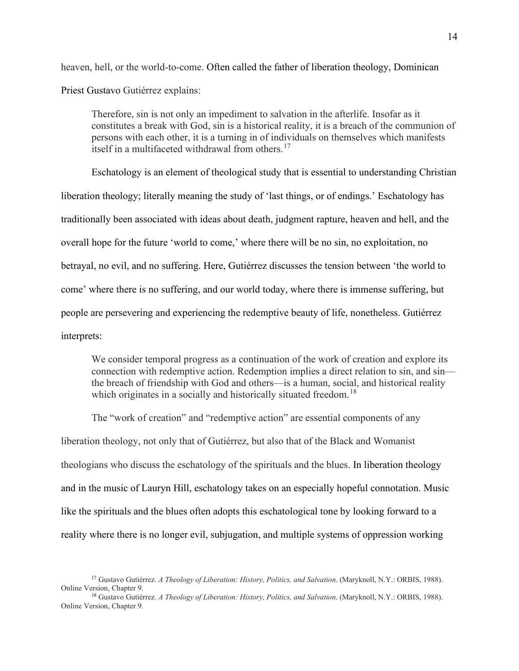heaven, hell, or the world-to-come. Often called the father of liberation theology, Dominican Priest Gustavo Gutiérrez explains:

Therefore, sin is not only an impediment to salvation in the afterlife. Insofar as it constitutes a break with God, sin is a historical reality, it is a breach of the communion of persons with each other, it is a turning in of individuals on themselves which manifests itself in a multifaceted withdrawal from others.<sup>[17](#page-14-0)</sup>

Eschatology is an element of theological study that is essential to understanding Christian liberation theology; literally meaning the study of 'last things, or of endings.' Eschatology has traditionally been associated with ideas about death, judgment rapture, heaven and hell, and the overall hope for the future 'world to come,' where there will be no sin, no exploitation, no betrayal, no evil, and no suffering. Here, Gutiérrez discusses the tension between 'the world to come' where there is no suffering, and our world today, where there is immense suffering, but people are persevering and experiencing the redemptive beauty of life, nonetheless. Gutiérrez interprets:

We consider temporal progress as a continuation of the work of creation and explore its connection with redemptive action. Redemption implies a direct relation to sin, and sin the breach of friendship with God and others—is a human, social, and historical reality which originates in a socially and historically situated freedom.<sup>18</sup>

The "work of creation" and "redemptive action" are essential components of any liberation theology, not only that of Gutiérrez, but also that of the Black and Womanist theologians who discuss the eschatology of the spirituals and the blues. In liberation theology and in the music of Lauryn Hill, eschatology takes on an especially hopeful connotation. Music like the spirituals and the blues often adopts this eschatological tone by looking forward to a reality where there is no longer evil, subjugation, and multiple systems of oppression working

<span id="page-14-0"></span><sup>&</sup>lt;sup>17</sup> Gustavo Gutiérrez. *A Theology of Liberation: History, Politics, and Salvation*. (Maryknoll, N.Y.: ORBIS, 1988).<br>Online Version, Chapter 9.

<span id="page-14-1"></span><sup>&</sup>lt;sup>18</sup> Gustavo Gutiérrez. *A Theology of Liberation: History, Politics, and Salvation*. (Maryknoll, N.Y.: ORBIS, 1988). Online Version, Chapter 9.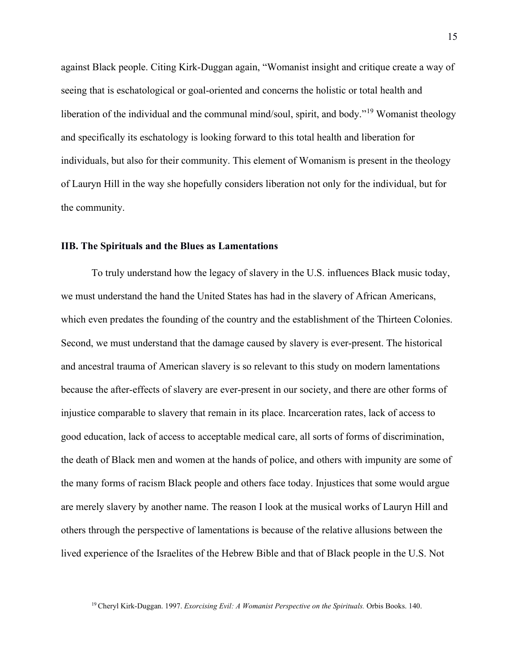against Black people. Citing Kirk-Duggan again, "Womanist insight and critique create a way of seeing that is eschatological or goal-oriented and concerns the holistic or total health and liberation of the individual and the communal mind/soul, spirit, and body."<sup>[19](#page-15-1)</sup> Womanist theology and specifically its eschatology is looking forward to this total health and liberation for individuals, but also for their community. This element of Womanism is present in the theology of Lauryn Hill in the way she hopefully considers liberation not only for the individual, but for the community.

#### <span id="page-15-0"></span>**IIB. The Spirituals and the Blues as Lamentations**

To truly understand how the legacy of slavery in the U.S. influences Black music today, we must understand the hand the United States has had in the slavery of African Americans, which even predates the founding of the country and the establishment of the Thirteen Colonies. Second, we must understand that the damage caused by slavery is ever-present. The historical and ancestral trauma of American slavery is so relevant to this study on modern lamentations because the after-effects of slavery are ever-present in our society, and there are other forms of injustice comparable to slavery that remain in its place. Incarceration rates, lack of access to good education, lack of access to acceptable medical care, all sorts of forms of discrimination, the death of Black men and women at the hands of police, and others with impunity are some of the many forms of racism Black people and others face today. Injustices that some would argue are merely slavery by another name. The reason I look at the musical works of Lauryn Hill and others through the perspective of lamentations is because of the relative allusions between the lived experience of the Israelites of the Hebrew Bible and that of Black people in the U.S. Not

<span id="page-15-1"></span>19 Cheryl Kirk-Duggan. 1997. *Exorcising Evil: A Womanist Perspective on the Spirituals.* Orbis Books. 140.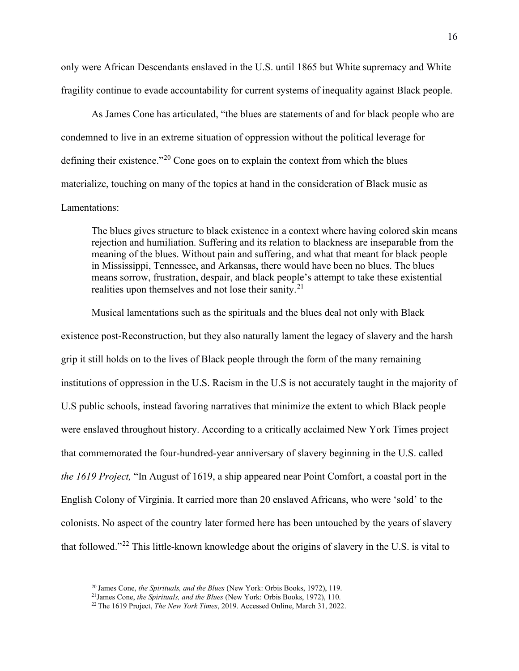only were African Descendants enslaved in the U.S. until 1865 but White supremacy and White fragility continue to evade accountability for current systems of inequality against Black people.

As James Cone has articulated, "the blues are statements of and for black people who are condemned to live in an extreme situation of oppression without the political leverage for defining their existence."[20](#page-16-0) Cone goes on to explain the context from which the blues materialize, touching on many of the topics at hand in the consideration of Black music as Lamentations:

The blues gives structure to black existence in a context where having colored skin means rejection and humiliation. Suffering and its relation to blackness are inseparable from the meaning of the blues. Without pain and suffering, and what that meant for black people in Mississippi, Tennessee, and Arkansas, there would have been no blues. The blues means sorrow, frustration, despair, and black people's attempt to take these existential realities upon themselves and not lose their sanity.<sup>21</sup>

Musical lamentations such as the spirituals and the blues deal not only with Black existence post-Reconstruction, but they also naturally lament the legacy of slavery and the harsh grip it still holds on to the lives of Black people through the form of the many remaining institutions of oppression in the U.S. Racism in the U.S is not accurately taught in the majority of U.S public schools, instead favoring narratives that minimize the extent to which Black people were enslaved throughout history. According to a critically acclaimed New York Times project that commemorated the four-hundred-year anniversary of slavery beginning in the U.S. called *the 1619 Project,* "In August of 1619, a ship appeared near Point Comfort, a coastal port in the English Colony of Virginia. It carried more than 20 enslaved Africans, who were 'sold' to the colonists. No aspect of the country later formed here has been untouched by the years of slavery that followed."[22](#page-16-2) This little-known knowledge about the origins of slavery in the U.S. is vital to

<sup>20</sup> James Cone, *the Spirituals, and the Blues* (New York: Orbis Books, 1972), 119.

<span id="page-16-1"></span><span id="page-16-0"></span><sup>21</sup>James Cone, *the Spirituals, and the Blues* (New York: Orbis Books, 1972), 110.

<span id="page-16-2"></span><sup>22</sup> The 1619 Project, *The New York Times*, 2019. Accessed Online, March 31, 2022.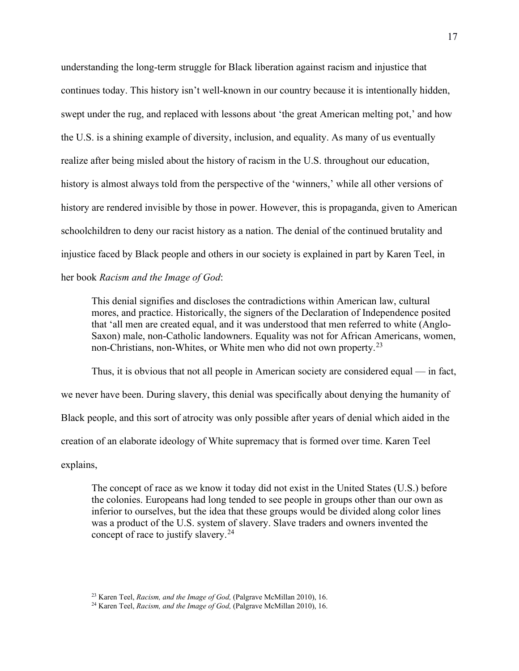understanding the long-term struggle for Black liberation against racism and injustice that continues today. This history isn't well-known in our country because it is intentionally hidden, swept under the rug, and replaced with lessons about 'the great American melting pot,' and how the U.S. is a shining example of diversity, inclusion, and equality. As many of us eventually realize after being misled about the history of racism in the U.S. throughout our education, history is almost always told from the perspective of the 'winners,' while all other versions of history are rendered invisible by those in power. However, this is propaganda, given to American schoolchildren to deny our racist history as a nation. The denial of the continued brutality and injustice faced by Black people and others in our society is explained in part by Karen Teel, in her book *Racism and the Image of God*:

This denial signifies and discloses the contradictions within American law, cultural mores, and practice. Historically, the signers of the Declaration of Independence posited that 'all men are created equal, and it was understood that men referred to white (Anglo-Saxon) male, non-Catholic landowners. Equality was not for African Americans, women, non-Christians, non-Whites, or White men who did not own property.<sup>23</sup>

Thus, it is obvious that not all people in American society are considered equal — in fact, we never have been. During slavery, this denial was specifically about denying the humanity of Black people, and this sort of atrocity was only possible after years of denial which aided in the creation of an elaborate ideology of White supremacy that is formed over time. Karen Teel explains,

The concept of race as we know it today did not exist in the United States (U.S.) before the colonies. Europeans had long tended to see people in groups other than our own as inferior to ourselves, but the idea that these groups would be divided along color lines was a product of the U.S. system of slavery. Slave traders and owners invented the concept of race to justify slavery.<sup>24</sup>

<span id="page-17-1"></span><span id="page-17-0"></span><sup>23</sup> Karen Teel, *Racism, and the Image of God,* (Palgrave McMillan 2010), 16.

<sup>24</sup> Karen Teel, *Racism, and the Image of God,* (Palgrave McMillan 2010), 16.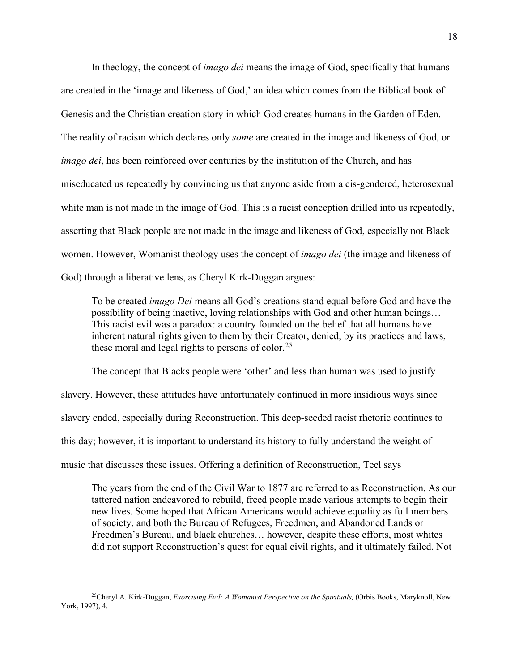In theology, the concept of *imago dei* means the image of God, specifically that humans are created in the 'image and likeness of God,' an idea which comes from the Biblical book of Genesis and the Christian creation story in which God creates humans in the Garden of Eden. The reality of racism which declares only *some* are created in the image and likeness of God, or *imago dei*, has been reinforced over centuries by the institution of the Church, and has miseducated us repeatedly by convincing us that anyone aside from a cis-gendered, heterosexual white man is not made in the image of God. This is a racist conception drilled into us repeatedly, asserting that Black people are not made in the image and likeness of God, especially not Black women. However, Womanist theology uses the concept of *imago dei* (the image and likeness of God) through a liberative lens, as Cheryl Kirk-Duggan argues:

To be created *imago Dei* means all God's creations stand equal before God and have the possibility of being inactive, loving relationships with God and other human beings… This racist evil was a paradox: a country founded on the belief that all humans have inherent natural rights given to them by their Creator, denied, by its practices and laws, these moral and legal rights to persons of color.<sup>[25](#page-18-0)</sup>

The concept that Blacks people were 'other' and less than human was used to justify slavery. However, these attitudes have unfortunately continued in more insidious ways since slavery ended, especially during Reconstruction. This deep-seeded racist rhetoric continues to this day; however, it is important to understand its history to fully understand the weight of music that discusses these issues. Offering a definition of Reconstruction, Teel says

<span id="page-18-0"></span>The years from the end of the Civil War to 1877 are referred to as Reconstruction. As our tattered nation endeavored to rebuild, freed people made various attempts to begin their new lives. Some hoped that African Americans would achieve equality as full members of society, and both the Bureau of Refugees, Freedmen, and Abandoned Lands or Freedmen's Bureau, and black churches… however, despite these efforts, most whites did not support Reconstruction's quest for equal civil rights, and it ultimately failed. Not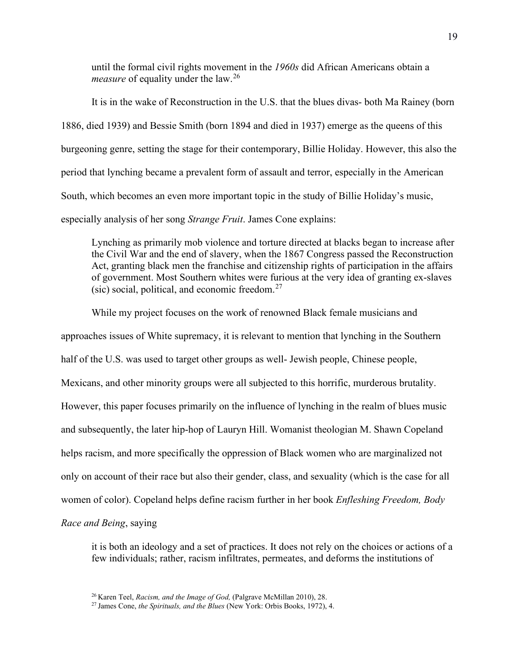until the formal civil rights movement in the *1960s* did African Americans obtain a *measure* of equality under the law.<sup>[26](#page-19-0)</sup>

It is in the wake of Reconstruction in the U.S. that the blues divas- both Ma Rainey (born 1886, died 1939) and Bessie Smith (born 1894 and died in 1937) emerge as the queens of this burgeoning genre, setting the stage for their contemporary, Billie Holiday. However, this also the period that lynching became a prevalent form of assault and terror, especially in the American South, which becomes an even more important topic in the study of Billie Holiday's music, especially analysis of her song *Strange Fruit*. James Cone explains:

Lynching as primarily mob violence and torture directed at blacks began to increase after the Civil War and the end of slavery, when the 1867 Congress passed the Reconstruction Act, granting black men the franchise and citizenship rights of participation in the affairs of government. Most Southern whites were furious at the very idea of granting ex-slaves (sic) social, political, and economic freedom. $27$ 

While my project focuses on the work of renowned Black female musicians and approaches issues of White supremacy, it is relevant to mention that lynching in the Southern half of the U.S. was used to target other groups as well- Jewish people, Chinese people, Mexicans, and other minority groups were all subjected to this horrific, murderous brutality. However, this paper focuses primarily on the influence of lynching in the realm of blues music and subsequently, the later hip-hop of Lauryn Hill. Womanist theologian M. Shawn Copeland helps racism, and more specifically the oppression of Black women who are marginalized not only on account of their race but also their gender, class, and sexuality (which is the case for all women of color). Copeland helps define racism further in her book *Enfleshing Freedom, Body Race and Being*, saying

it is both an ideology and a set of practices. It does not rely on the choices or actions of a few individuals; rather, racism infiltrates, permeates, and deforms the institutions of

<span id="page-19-1"></span><span id="page-19-0"></span>

<sup>26</sup> Karen Teel, *Racism, and the Image of God,* (Palgrave McMillan 2010), 28. 27 James Cone, *the Spirituals, and the Blues* (New York: Orbis Books, 1972), 4.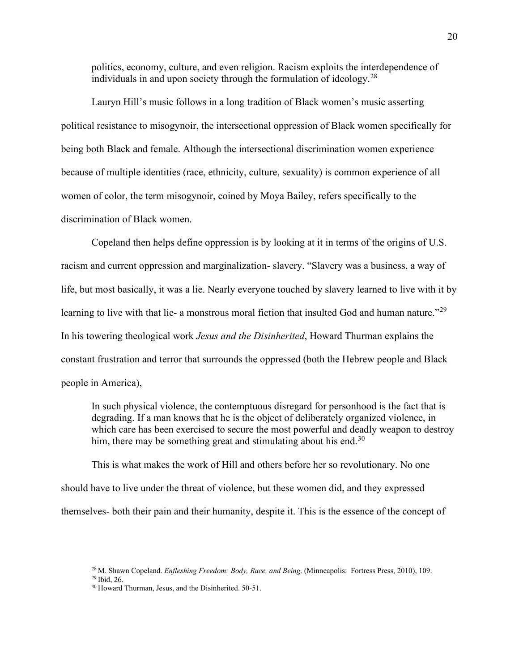politics, economy, culture, and even religion. Racism exploits the interdependence of individuals in and upon society through the formulation of ideology.<sup>[28](#page-20-0)</sup>

Lauryn Hill's music follows in a long tradition of Black women's music asserting political resistance to misogynoir, the intersectional oppression of Black women specifically for being both Black and female. Although the intersectional discrimination women experience because of multiple identities (race, ethnicity, culture, sexuality) is common experience of all women of color, the term misogynoir, coined by Moya Bailey, refers specifically to the discrimination of Black women.

Copeland then helps define oppression is by looking at it in terms of the origins of U.S. racism and current oppression and marginalization- slavery. "Slavery was a business, a way of life, but most basically, it was a lie. Nearly everyone touched by slavery learned to live with it by learning to live with that lie- a monstrous moral fiction that insulted God and human nature."<sup>[29](#page-20-1)</sup> In his towering theological work *Jesus and the Disinherited*, Howard Thurman explains the constant frustration and terror that surrounds the oppressed (both the Hebrew people and Black people in America),

In such physical violence, the contemptuous disregard for personhood is the fact that is degrading. If a man knows that he is the object of deliberately organized violence, in which care has been exercised to secure the most powerful and deadly weapon to destroy him, there may be something great and stimulating about his end.<sup>30</sup>

This is what makes the work of Hill and others before her so revolutionary. No one should have to live under the threat of violence, but these women did, and they expressed themselves- both their pain and their humanity, despite it. This is the essence of the concept of

<span id="page-20-1"></span><span id="page-20-0"></span><sup>28</sup> M. Shawn Copeland. *Enfleshing Freedom: Body, Race, and Being*. (Minneapolis: Fortress Press, 2010), 109. 29 Ibid, 26.

<span id="page-20-2"></span><sup>30</sup> Howard Thurman, Jesus, and the Disinherited. 50-51.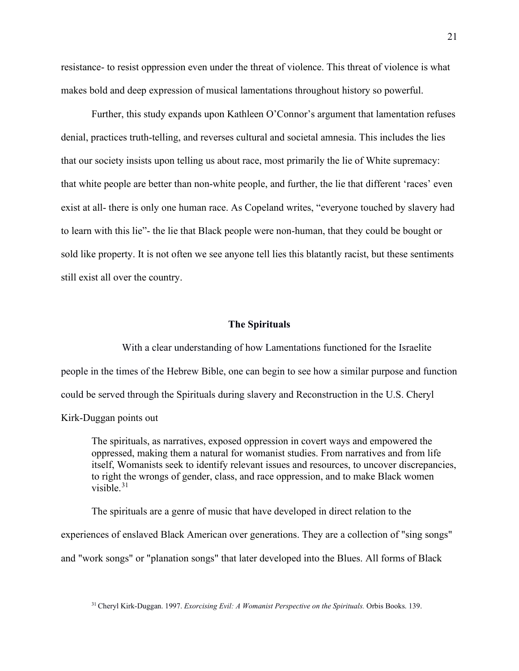resistance- to resist oppression even under the threat of violence. This threat of violence is what makes bold and deep expression of musical lamentations throughout history so powerful.

Further, this study expands upon Kathleen O'Connor's argument that lamentation refuses denial, practices truth-telling, and reverses cultural and societal amnesia. This includes the lies that our society insists upon telling us about race, most primarily the lie of White supremacy: that white people are better than non-white people, and further, the lie that different 'races' even exist at all- there is only one human race. As Copeland writes, "everyone touched by slavery had to learn with this lie"- the lie that Black people were non-human, that they could be bought or sold like property. It is not often we see anyone tell lies this blatantly racist, but these sentiments still exist all over the country.

#### **The Spirituals**

With a clear understanding of how Lamentations functioned for the Israelite people in the times of the Hebrew Bible, one can begin to see how a similar purpose and function could be served through the Spirituals during slavery and Reconstruction in the U.S. Cheryl Kirk-Duggan points out

The spirituals, as narratives, exposed oppression in covert ways and empowered the oppressed, making them a natural for womanist studies. From narratives and from life itself, Womanists seek to identify relevant issues and resources, to uncover discrepancies, to right the wrongs of gender, class, and race oppression, and to make Black women visible. $31$ 

The spirituals are a genre of music that have developed in direct relation to the experiences of enslaved Black American over generations. They are a collection of "sing songs" and "work songs" or "planation songs" that later developed into the Blues. All forms of Black

<span id="page-21-0"></span><sup>31</sup> Cheryl Kirk-Duggan. 1997. *Exorcising Evil: A Womanist Perspective on the Spirituals*. Orbis Books. 139.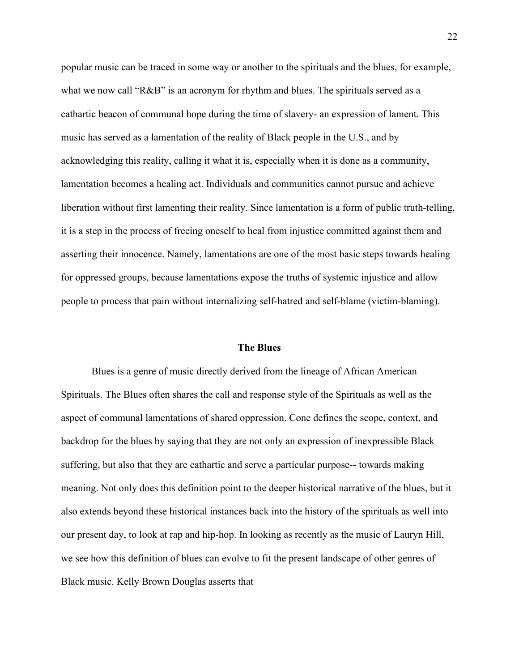popular music can be traced in some way or another to the spirituals and the blues, for example, what we now call "R&B" is an acronym for rhythm and blues. The spirituals served as a cathartic beacon of communal hope during the time of slavery- an expression of lament. This music has served as a lamentation of the reality of Black people in the U.S., and by acknowledging this reality, calling it what it is, especially when it is done as a community, lamentation becomes a healing act. Individuals and communities cannot pursue and achieve liberation without first lamenting their reality. Since lamentation is a form of public truth-telling, it is a step in the process of freeing oneself to heal from injustice committed against them and asserting their innocence. Namely, lamentations are one of the most basic steps towards healing for oppressed groups, because lamentations expose the truths of systemic injustice and allow people to process that pain without internalizing self-hatred and self-blame (victim-blaming).

#### **The Blues**

Blues is a genre of music directly derived from the lineage of African American Spirituals. The Blues often shares the call and response style of the Spirituals as well as the aspect of communal lamentations of shared oppression. Cone defines the scope, context, and backdrop for the blues by saying that they are not only an expression of inexpressible Black suffering, but also that they are cathartic and serve a particular purpose-- towards making meaning. Not only does this definition point to the deeper historical narrative of the blues, but it also extends beyond these historical instances back into the history of the spirituals as well into our present day, to look at rap and hip-hop. In looking as recently as the music of Lauryn Hill, we see how this definition of blues can evolve to fit the present landscape of other genres of Black music. Kelly Brown Douglas asserts that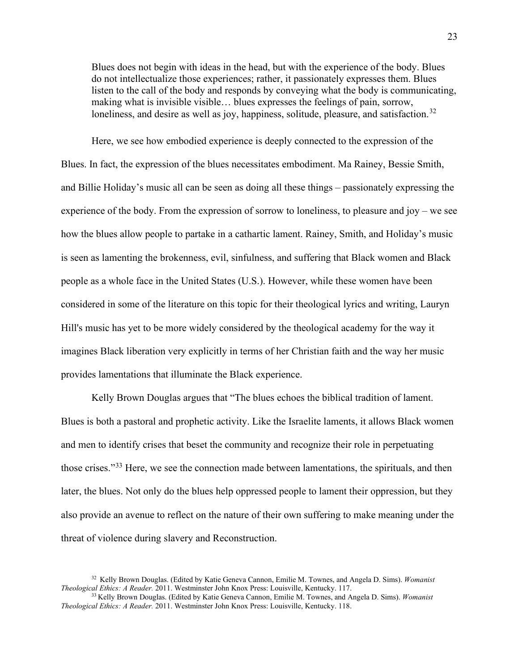Blues does not begin with ideas in the head, but with the experience of the body. Blues do not intellectualize those experiences; rather, it passionately expresses them. Blues listen to the call of the body and responds by conveying what the body is communicating, making what is invisible visible… blues expresses the feelings of pain, sorrow, loneliness, and desire as well as joy, happiness, solitude, pleasure, and satisfaction.<sup>32</sup>

Here, we see how embodied experience is deeply connected to the expression of the Blues. In fact, the expression of the blues necessitates embodiment. Ma Rainey, Bessie Smith, and Billie Holiday's music all can be seen as doing all these things – passionately expressing the experience of the body. From the expression of sorrow to loneliness, to pleasure and joy – we see how the blues allow people to partake in a cathartic lament. Rainey, Smith, and Holiday's music is seen as lamenting the brokenness, evil, sinfulness, and suffering that Black women and Black people as a whole face in the United States (U.S.). However, while these women have been considered in some of the literature on this topic for their theological lyrics and writing, Lauryn Hill's music has yet to be more widely considered by the theological academy for the way it imagines Black liberation very explicitly in terms of her Christian faith and the way her music provides lamentations that illuminate the Black experience.

Kelly Brown Douglas argues that "The blues echoes the biblical tradition of lament. Blues is both a pastoral and prophetic activity. Like the Israelite laments, it allows Black women and men to identify crises that beset the community and recognize their role in perpetuating those crises."[33](#page-23-1) Here, we see the connection made between lamentations, the spirituals, and then later, the blues. Not only do the blues help oppressed people to lament their oppression, but they also provide an avenue to reflect on the nature of their own suffering to make meaning under the threat of violence during slavery and Reconstruction.

<span id="page-23-0"></span><sup>32</sup> Kelly Brown Douglas. (Edited by Katie Geneva Cannon, Emilie M. Townes, and Angela D. Sims). *Womanist Theological Ethics: A Reader.* 2011. Westminster John Knox Press: Louisville, Kentucky. 117.

<span id="page-23-1"></span><sup>33</sup> Kelly Brown Douglas. (Edited by Katie Geneva Cannon, Emilie M. Townes, and Angela D. Sims). *Womanist Theological Ethics: A Reader.* 2011. Westminster John Knox Press: Louisville, Kentucky. 118.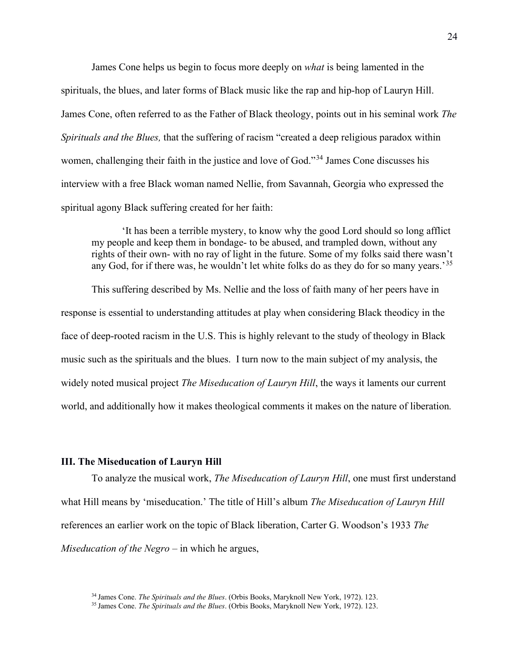James Cone helps us begin to focus more deeply on *what* is being lamented in the spirituals, the blues, and later forms of Black music like the rap and hip-hop of Lauryn Hill. James Cone, often referred to as the Father of Black theology, points out in his seminal work *The Spirituals and the Blues,* that the suffering of racism "created a deep religious paradox within women, challenging their faith in the justice and love of God."<sup>[34](#page-24-1)</sup> James Cone discusses his interview with a free Black woman named Nellie, from Savannah, Georgia who expressed the spiritual agony Black suffering created for her faith:

'It has been a terrible mystery, to know why the good Lord should so long afflict my people and keep them in bondage- to be abused, and trampled down, without any rights of their own- with no ray of light in the future. Some of my folks said there wasn't any God, for if there was, he wouldn't let white folks do as they do for so many years.<sup>[35](#page-24-2)</sup>

This suffering described by Ms. Nellie and the loss of faith many of her peers have in response is essential to understanding attitudes at play when considering Black theodicy in the face of deep-rooted racism in the U.S. This is highly relevant to the study of theology in Black music such as the spirituals and the blues. I turn now to the main subject of my analysis, the widely noted musical project *The Miseducation of Lauryn Hill*, the ways it laments our current world, and additionally how it makes theological comments it makes on the nature of liberation*.* 

## <span id="page-24-0"></span>**III. The Miseducation of Lauryn Hill**

To analyze the musical work, *The Miseducation of Lauryn Hill*, one must first understand what Hill means by 'miseducation.' The title of Hill's album *The Miseducation of Lauryn Hill* references an earlier work on the topic of Black liberation, Carter G. Woodson's 1933 *The Miseducation of the Negro* – in which he argues,

<span id="page-24-1"></span>34 James Cone. *The Spirituals and the Blues*. (Orbis Books, Maryknoll New York, 1972). 123.

<span id="page-24-2"></span><sup>35</sup> James Cone. *The Spirituals and the Blues*. (Orbis Books, Maryknoll New York, 1972). 123.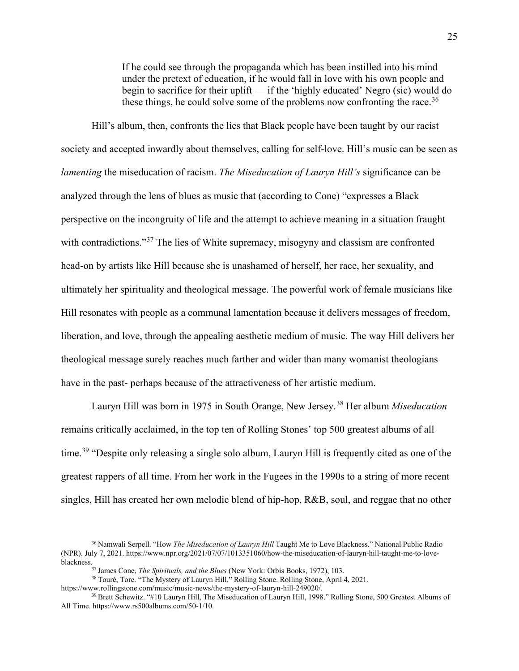If he could see through the propaganda which has been instilled into his mind under the pretext of education, if he would fall in love with his own people and begin to sacrifice for their uplift — if the 'highly educated' Negro (sic) would do these things, he could solve some of the problems now confronting the race.<sup>36</sup>

Hill's album, then, confronts the lies that Black people have been taught by our racist society and accepted inwardly about themselves, calling for self-love. Hill's music can be seen as *lamenting* the miseducation of racism. *The Miseducation of Lauryn Hill's* significance can be analyzed through the lens of blues as music that (according to Cone) "expresses a Black perspective on the incongruity of life and the attempt to achieve meaning in a situation fraught with contradictions."<sup>[37](#page-25-1)</sup> The lies of White supremacy, misogyny and classism are confronted head-on by artists like Hill because she is unashamed of herself, her race, her sexuality, and ultimately her spirituality and theological message. The powerful work of female musicians like Hill resonates with people as a communal lamentation because it delivers messages of freedom, liberation, and love, through the appealing aesthetic medium of music. The way Hill delivers her theological message surely reaches much farther and wider than many womanist theologians have in the past- perhaps because of the attractiveness of her artistic medium.

Lauryn Hill was born in 1975 in South Orange, New Jersey.[38](#page-25-2) Her album *Miseducation*  remains critically acclaimed, in the top ten of Rolling Stones' top 500 greatest albums of all time.<sup>[39](#page-25-3)</sup> "Despite only releasing a single solo album, Lauryn Hill is frequently cited as one of the greatest rappers of all time. From her work in the Fugees in the 1990s to a string of more recent singles, Hill has created her own melodic blend of hip-hop, R&B, soul, and reggae that no other

<span id="page-25-0"></span><sup>36</sup> Namwali Serpell. "How *The Miseducation of Lauryn Hill* Taught Me to Love Blackness." National Public Radio (NPR). July 7, 2021. https://www.npr.org/2021/07/07/1013351060/how-the-miseducation-of-lauryn-hill-taught-me-to-love-

<sup>&</sup>lt;sup>37</sup> James Cone, *The Spirituals, and the Blues* (New York: Orbis Books, 1972), 103.

<sup>&</sup>lt;sup>38</sup> Touré, Tore. "The Mystery of Lauryn Hill." Rolling Stone. Rolling Stone, April 4, 2021.

<span id="page-25-2"></span><span id="page-25-1"></span>https://www.rollingstone.com/music/music-news/the-mystery-of-lauryn-hill-249020/.

<span id="page-25-3"></span><sup>&</sup>lt;sup>39</sup> Brett Schewitz. "#10 Lauryn Hill, The Miseducation of Lauryn Hill, 1998." Rolling Stone, 500 Greatest Albums of All Time. https://www.rs500albums.com/50-1/10.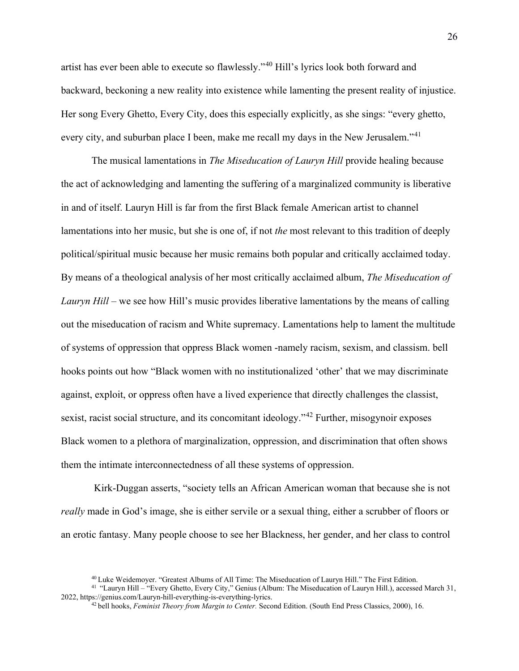artist has ever been able to execute so flawlessly."[40](#page-26-0) Hill's lyrics look both forward and backward, beckoning a new reality into existence while lamenting the present reality of injustice. Her song Every Ghetto, Every City, does this especially explicitly, as she sings: "every ghetto, every city, and suburban place I been, make me recall my days in the New Jerusalem."<sup>[41](#page-26-1)</sup>

The musical lamentations in *The Miseducation of Lauryn Hill* provide healing because the act of acknowledging and lamenting the suffering of a marginalized community is liberative in and of itself. Lauryn Hill is far from the first Black female American artist to channel lamentations into her music, but she is one of, if not *the* most relevant to this tradition of deeply political/spiritual music because her music remains both popular and critically acclaimed today. By means of a theological analysis of her most critically acclaimed album, *The Miseducation of Lauryn Hill* – we see how Hill's music provides liberative lamentations by the means of calling out the miseducation of racism and White supremacy. Lamentations help to lament the multitude of systems of oppression that oppress Black women -namely racism, sexism, and classism. bell hooks points out how "Black women with no institutionalized 'other' that we may discriminate against, exploit, or oppress often have a lived experience that directly challenges the classist, sexist, racist social structure, and its concomitant ideology."<sup>[42](#page-26-2)</sup> Further, misogynoir exposes Black women to a plethora of marginalization, oppression, and discrimination that often shows them the intimate interconnectedness of all these systems of oppression.

Kirk-Duggan asserts, "society tells an African American woman that because she is not *really* made in God's image, she is either servile or a sexual thing, either a scrubber of floors or an erotic fantasy. Many people choose to see her Blackness, her gender, and her class to control

<sup>40</sup> Luke Weidemoyer. "Greatest Albums of All Time: The Miseducation of Lauryn Hill." The First Edition.

<span id="page-26-2"></span><span id="page-26-1"></span><span id="page-26-0"></span><sup>41 &</sup>quot;Lauryn Hill – "Every Ghetto, Every City," Genius (Album: The Miseducation of Lauryn Hill.), accessed March 31, 2022, https://genius.com/Lauryn-hill-everything-is-everything-lyrics.

<sup>42</sup> bell hooks, *Feminist Theory from Margin to Center.* Second Edition. (South End Press Classics, 2000), 16.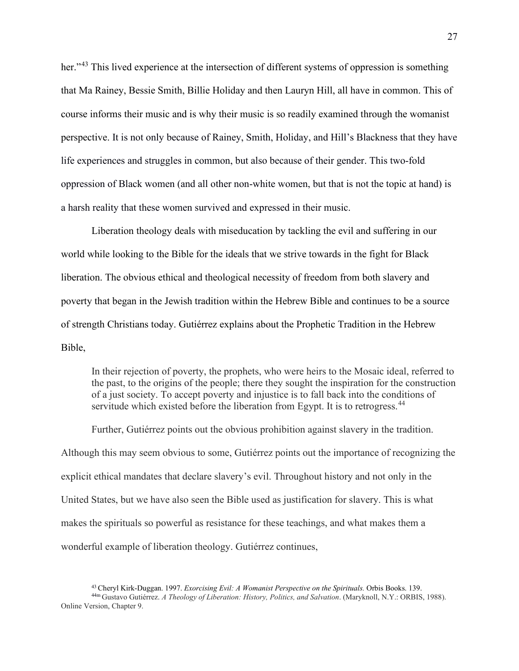her."<sup>[43](#page-27-0)</sup> This lived experience at the intersection of different systems of oppression is something that Ma Rainey, Bessie Smith, Billie Holiday and then Lauryn Hill, all have in common. This of course informs their music and is why their music is so readily examined through the womanist perspective. It is not only because of Rainey, Smith, Holiday, and Hill's Blackness that they have life experiences and struggles in common, but also because of their gender. This two-fold oppression of Black women (and all other non-white women, but that is not the topic at hand) is a harsh reality that these women survived and expressed in their music.

Liberation theology deals with miseducation by tackling the evil and suffering in our world while looking to the Bible for the ideals that we strive towards in the fight for Black liberation. The obvious ethical and theological necessity of freedom from both slavery and poverty that began in the Jewish tradition within the Hebrew Bible and continues to be a source of strength Christians today. Gutiérrez explains about the Prophetic Tradition in the Hebrew Bible,

In their rejection of poverty, the prophets, who were heirs to the Mosaic ideal, referred to the past, to the origins of the people; there they sought the inspiration for the construction of a just society. To accept poverty and injustice is to fall back into the conditions of servitude which existed before the liberation from Egypt. It is to retrogress.<sup>[44](#page-27-1)</sup>

<span id="page-27-1"></span><span id="page-27-0"></span>Further, Gutiérrez points out the obvious prohibition against slavery in the tradition. Although this may seem obvious to some, Gutiérrez points out the importance of recognizing the explicit ethical mandates that declare slavery's evil. Throughout history and not only in the United States, but we have also seen the Bible used as justification for slavery. This is what makes the spirituals so powerful as resistance for these teachings, and what makes them a wonderful example of liberation theology. Gutiérrez continues,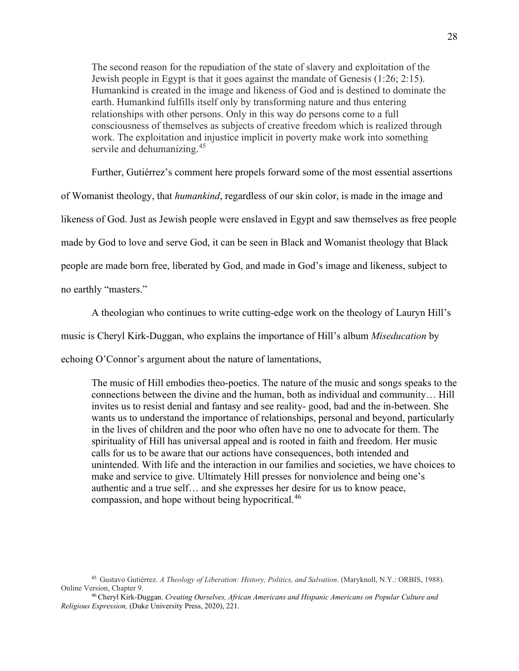The second reason for the repudiation of the state of slavery and exploitation of the Jewish people in Egypt is that it goes against the mandate of Genesis (1:26; 2:15). Humankind is created in the image and likeness of God and is destined to dominate the earth. Humankind fulfills itself only by transforming nature and thus entering relationships with other persons. Only in this way do persons come to a full consciousness of themselves as subjects of creative freedom which is realized through work. The exploitation and injustice implicit in poverty make work into something servile and dehumanizing.<sup>[45](#page-28-0)</sup>

Further, Gutiérrez's comment here propels forward some of the most essential assertions

of Womanist theology, that *humankind*, regardless of our skin color, is made in the image and

likeness of God. Just as Jewish people were enslaved in Egypt and saw themselves as free people

made by God to love and serve God, it can be seen in Black and Womanist theology that Black

people are made born free, liberated by God, and made in God's image and likeness, subject to

no earthly "masters."

A theologian who continues to write cutting-edge work on the theology of Lauryn Hill's

music is Cheryl Kirk-Duggan, who explains the importance of Hill's album *Miseducation* by

echoing O'Connor's argument about the nature of lamentations,

The music of Hill embodies theo-poetics. The nature of the music and songs speaks to the connections between the divine and the human, both as individual and community… Hill invites us to resist denial and fantasy and see reality- good, bad and the in-between. She wants us to understand the importance of relationships, personal and beyond, particularly in the lives of children and the poor who often have no one to advocate for them. The spirituality of Hill has universal appeal and is rooted in faith and freedom. Her music calls for us to be aware that our actions have consequences, both intended and unintended. With life and the interaction in our families and societies, we have choices to make and service to give. Ultimately Hill presses for nonviolence and being one's authentic and a true self… and she expresses her desire for us to know peace, compassion, and hope without being hypocritical.<sup>[46](#page-28-1)</sup>

<span id="page-28-0"></span><sup>45</sup> Gustavo Gutiérrez. *A Theology of Liberation: History, Politics, and Salvation*. (Maryknoll, N.Y.: ORBIS, 1988).

<span id="page-28-1"></span><sup>&</sup>lt;sup>46</sup> Cheryl Kirk-Duggan. *Creating Ourselves, African Americans and Hispanic Americans on Popular Culture and Religious Expression,* (Duke University Press, 2020), 221.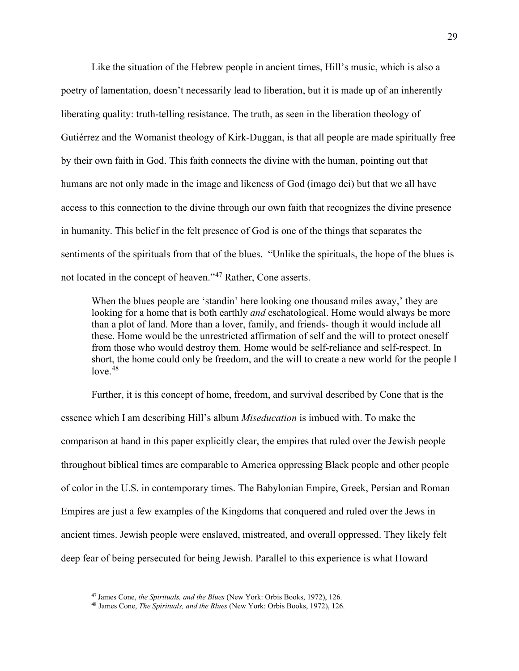Like the situation of the Hebrew people in ancient times, Hill's music, which is also a poetry of lamentation, doesn't necessarily lead to liberation, but it is made up of an inherently liberating quality: truth-telling resistance. The truth, as seen in the liberation theology of Gutiérrez and the Womanist theology of Kirk-Duggan, is that all people are made spiritually free by their own faith in God. This faith connects the divine with the human, pointing out that humans are not only made in the image and likeness of God (imago dei) but that we all have access to this connection to the divine through our own faith that recognizes the divine presence in humanity. This belief in the felt presence of God is one of the things that separates the sentiments of the spirituals from that of the blues. "Unlike the spirituals, the hope of the blues is not located in the concept of heaven."[47](#page-29-0) Rather, Cone asserts.

When the blues people are 'standin' here looking one thousand miles away,' they are looking for a home that is both earthly *and* eschatological. Home would always be more than a plot of land. More than a lover, family, and friends- though it would include all these. Home would be the unrestricted affirmation of self and the will to protect oneself from those who would destroy them. Home would be self-reliance and self-respect. In short, the home could only be freedom, and the will to create a new world for the people I  $\log^{48}$  $\log^{48}$  $\log^{48}$ 

Further, it is this concept of home, freedom, and survival described by Cone that is the essence which I am describing Hill's album *Miseducation* is imbued with. To make the comparison at hand in this paper explicitly clear, the empires that ruled over the Jewish people throughout biblical times are comparable to America oppressing Black people and other people of color in the U.S. in contemporary times. The Babylonian Empire, Greek, Persian and Roman Empires are just a few examples of the Kingdoms that conquered and ruled over the Jews in ancient times. Jewish people were enslaved, mistreated, and overall oppressed. They likely felt deep fear of being persecuted for being Jewish. Parallel to this experience is what Howard

<span id="page-29-0"></span><sup>47</sup> James Cone, *the Spirituals, and the Blues* (New York: Orbis Books, 1972), 126.

<span id="page-29-1"></span><sup>48</sup> James Cone, *The Spirituals, and the Blues* (New York: Orbis Books, 1972), 126.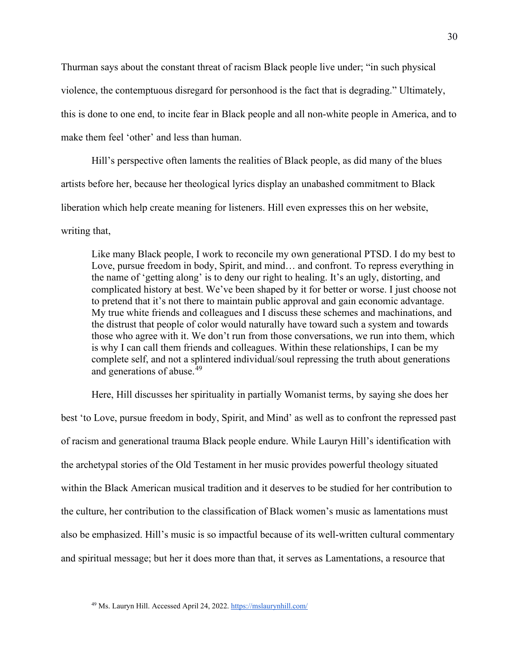Thurman says about the constant threat of racism Black people live under; "in such physical violence, the contemptuous disregard for personhood is the fact that is degrading." Ultimately, this is done to one end, to incite fear in Black people and all non-white people in America, and to make them feel 'other' and less than human.

Hill's perspective often laments the realities of Black people, as did many of the blues artists before her, because her theological lyrics display an unabashed commitment to Black liberation which help create meaning for listeners. Hill even expresses this on her website, writing that,

Like many Black people, I work to reconcile my own generational PTSD. I do my best to Love, pursue freedom in body, Spirit, and mind… and confront. To repress everything in the name of 'getting along' is to deny our right to healing. It's an ugly, distorting, and complicated history at best. We've been shaped by it for better or worse. I just choose not to pretend that it's not there to maintain public approval and gain economic advantage. My true white friends and colleagues and I discuss these schemes and machinations, and the distrust that people of color would naturally have toward such a system and towards those who agree with it. We don't run from those conversations, we run into them, which is why I can call them friends and colleagues. Within these relationships, I can be my complete self, and not a splintered individual/soul repressing the truth about generations and generations of abuse.<sup>[49](#page-30-0)</sup>

Here, Hill discusses her spirituality in partially Womanist terms, by saying she does her best 'to Love, pursue freedom in body, Spirit, and Mind' as well as to confront the repressed past of racism and generational trauma Black people endure. While Lauryn Hill's identification with the archetypal stories of the Old Testament in her music provides powerful theology situated within the Black American musical tradition and it deserves to be studied for her contribution to the culture, her contribution to the classification of Black women's music as lamentations must also be emphasized. Hill's music is so impactful because of its well-written cultural commentary and spiritual message; but her it does more than that, it serves as Lamentations, a resource that

<span id="page-30-0"></span><sup>49</sup> Ms. Lauryn Hill. Accessed April 24, 2022[. https://mslaurynhill.com/](https://mslaurynhill.com/)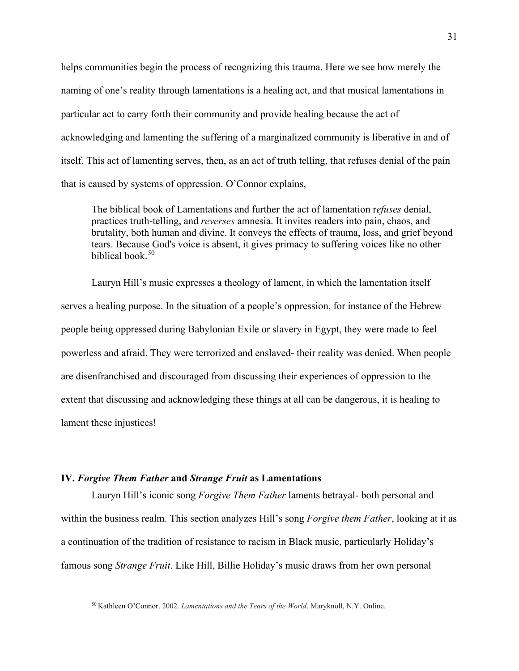helps communities begin the process of recognizing this trauma. Here we see how merely the naming of one's reality through lamentations is a healing act, and that musical lamentations in particular act to carry forth their community and provide healing because the act of acknowledging and lamenting the suffering of a marginalized community is liberative in and of itself. This act of lamenting serves, then, as an act of truth telling, that refuses denial of the pain that is caused by systems of oppression. O'Connor explains,

The biblical book of Lamentations and further the act of lamentation r*efuses* denial, practices truth-telling, and *reverses* amnesia. It invites readers into pain, chaos, and brutality, both human and divine. It conveys the effects of trauma, loss, and grief beyond tears. Because God's voice is absent, it gives primacy to suffering voices like no other biblical book. $50$ 

Lauryn Hill's music expresses a theology of lament, in which the lamentation itself serves a healing purpose. In the situation of a people's oppression, for instance of the Hebrew people being oppressed during Babylonian Exile or slavery in Egypt, they were made to feel powerless and afraid. They were terrorized and enslaved- their reality was denied. When people are disenfranchised and discouraged from discussing their experiences of oppression to the extent that discussing and acknowledging these things at all can be dangerous, it is healing to lament these injustices!

#### <span id="page-31-0"></span>**IV.** *Forgive Them Father* **and** *Strange Fruit* **as Lamentations**

Lauryn Hill's iconic song *Forgive Them Father* laments betrayal- both personal and within the business realm. This section analyzes Hill's song *Forgive them Father*, looking at it as a continuation of the tradition of resistance to racism in Black music, particularly Holiday's famous song *Strange Fruit*. Like Hill, Billie Holiday's music draws from her own personal

<span id="page-31-1"></span>50 Kathleen O'Connor. 2002. *Lamentations and the Tears of the World*. Maryknoll, N.Y. Online.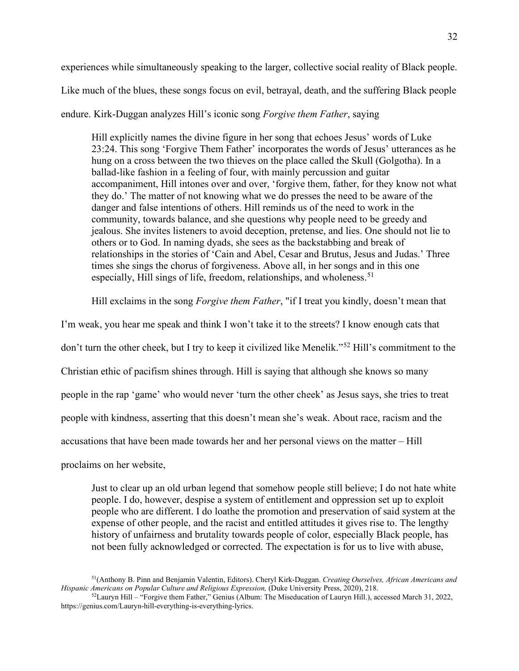experiences while simultaneously speaking to the larger, collective social reality of Black people. Like much of the blues, these songs focus on evil, betrayal, death, and the suffering Black people endure. Kirk-Duggan analyzes Hill's iconic song *Forgive them Father*, saying

Hill explicitly names the divine figure in her song that echoes Jesus' words of Luke 23:24. This song 'Forgive Them Father' incorporates the words of Jesus' utterances as he hung on a cross between the two thieves on the place called the Skull (Golgotha). In a ballad-like fashion in a feeling of four, with mainly percussion and guitar accompaniment, Hill intones over and over, 'forgive them, father, for they know not what they do.' The matter of not knowing what we do presses the need to be aware of the danger and false intentions of others. Hill reminds us of the need to work in the community, towards balance, and she questions why people need to be greedy and jealous. She invites listeners to avoid deception, pretense, and lies. One should not lie to others or to God. In naming dyads, she sees as the backstabbing and break of relationships in the stories of 'Cain and Abel, Cesar and Brutus, Jesus and Judas.' Three times she sings the chorus of forgiveness. Above all, in her songs and in this one especially, Hill sings of life, freedom, relationships, and wholeness.<sup>51</sup>

Hill exclaims in the song *Forgive them Father*, "if I treat you kindly, doesn't mean that

I'm weak, you hear me speak and think I won't take it to the streets? I know enough cats that don't turn the other cheek, but I try to keep it civilized like Menelik."[52](#page-32-1) Hill's commitment to the Christian ethic of pacifism shines through. Hill is saying that although she knows so many people in the rap 'game' who would never 'turn the other cheek' as Jesus says, she tries to treat people with kindness, asserting that this doesn't mean she's weak. About race, racism and the accusations that have been made towards her and her personal views on the matter – Hill

proclaims on her website,

Just to clear up an old urban legend that somehow people still believe; I do not hate white people. I do, however, despise a system of entitlement and oppression set up to exploit people who are different. I do loathe the promotion and preservation of said system at the expense of other people, and the racist and entitled attitudes it gives rise to. The lengthy history of unfairness and brutality towards people of color, especially Black people, has not been fully acknowledged or corrected. The expectation is for us to live with abuse,

<span id="page-32-0"></span><sup>51(</sup>Anthony B. Pinn and Benjamin Valentin, Editors). Cheryl Kirk-Duggan. *Creating Ourselves, African Americans and Hispanic Americans on Popular Culture and Religious Expression, (Duke University Press, 2020), 218.* 

<span id="page-32-1"></span> $52$ Lauryn Hill – "Forgive them Father," Genius (Album: The Miseducation of Lauryn Hill.), accessed March 31, 2022, https://genius.com/Lauryn-hill-everything-is-everything-lyrics.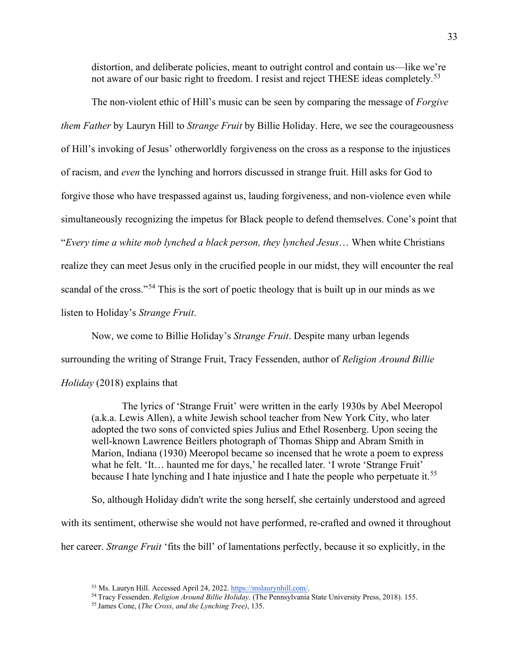distortion, and deliberate policies, meant to outright control and contain us—like we're not aware of our basic right to freedom. I resist and reject THESE ideas completely.<sup>[53](#page-33-0)</sup>

The non-violent ethic of Hill's music can be seen by comparing the message of *Forgive them Father* by Lauryn Hill to *Strange Fruit* by Billie Holiday. Here, we see the courageousness of Hill's invoking of Jesus' otherworldly forgiveness on the cross as a response to the injustices of racism, and *even* the lynching and horrors discussed in strange fruit. Hill asks for God to forgive those who have trespassed against us, lauding forgiveness, and non-violence even while simultaneously recognizing the impetus for Black people to defend themselves. Cone's point that "*Every time a white mob lynched a black person, they lynched Jesus*… When white Christians realize they can meet Jesus only in the crucified people in our midst, they will encounter the real scandal of the cross."<sup>[54](#page-33-1)</sup> This is the sort of poetic theology that is built up in our minds as we listen to Holiday's *Strange Fruit*.

Now, we come to Billie Holiday's *Strange Fruit*. Despite many urban legends surrounding the writing of Strange Fruit, Tracy Fessenden, author of *Religion Around Billie Holiday* (2018) explains that

The lyrics of 'Strange Fruit' were written in the early 1930s by Abel Meeropol (a.k.a. Lewis Allen), a white Jewish school teacher from New York City, who later adopted the two sons of convicted spies Julius and Ethel Rosenberg. Upon seeing the well-known Lawrence Beitlers photograph of Thomas Shipp and Abram Smith in Marion, Indiana (1930) Meeropol became so incensed that he wrote a poem to express what he felt. 'It… haunted me for days,' he recalled later. 'I wrote 'Strange Fruit' because I hate lynching and I hate injustice and I hate the people who perpetuate it.<sup>55</sup>

So, although Holiday didn't write the song herself, she certainly understood and agreed with its sentiment, otherwise she would not have performed, re-crafted and owned it throughout her career. *Strange Fruit* 'fits the bill' of lamentations perfectly, because it so explicitly, in the

<span id="page-33-1"></span><span id="page-33-0"></span><sup>53</sup> Ms. Lauryn Hill. Accessed April 24, 2022[. https://mslaurynhill.com/.](https://mslaurynhill.com/) 54 Tracy Fessenden. *Religion Around Billie Holiday*. (The Pennsylvania State University Press, 2018). 155.

<span id="page-33-2"></span><sup>55</sup> James Cone, (*The Cross, and the Lynching Tree)*, 135.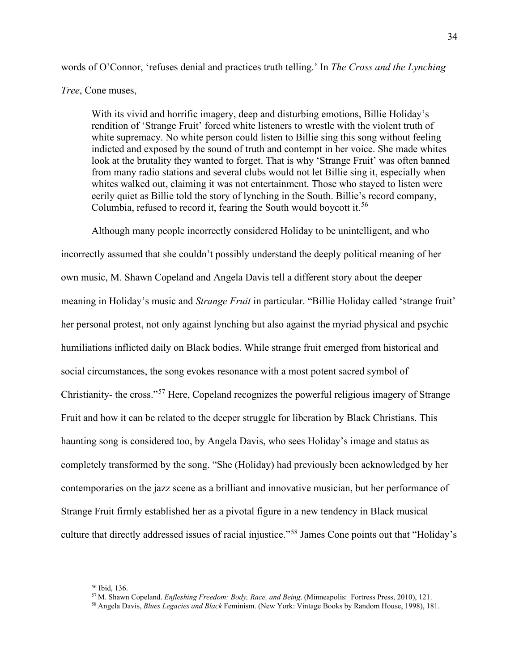words of O'Connor, 'refuses denial and practices truth telling.' In *The Cross and the Lynching Tree*, Cone muses,

With its vivid and horrific imagery, deep and disturbing emotions, Billie Holiday's rendition of 'Strange Fruit' forced white listeners to wrestle with the violent truth of white supremacy. No white person could listen to Billie sing this song without feeling indicted and exposed by the sound of truth and contempt in her voice. She made whites look at the brutality they wanted to forget. That is why 'Strange Fruit' was often banned from many radio stations and several clubs would not let Billie sing it, especially when whites walked out, claiming it was not entertainment. Those who stayed to listen were eerily quiet as Billie told the story of lynching in the South. Billie's record company, Columbia, refused to record it, fearing the South would boycott it.<sup>[56](#page-34-0)</sup>

Although many people incorrectly considered Holiday to be unintelligent, and who incorrectly assumed that she couldn't possibly understand the deeply political meaning of her own music, M. Shawn Copeland and Angela Davis tell a different story about the deeper meaning in Holiday's music and *Strange Fruit* in particular. "Billie Holiday called 'strange fruit' her personal protest, not only against lynching but also against the myriad physical and psychic humiliations inflicted daily on Black bodies. While strange fruit emerged from historical and social circumstances, the song evokes resonance with a most potent sacred symbol of Christianity- the cross."[57](#page-34-1) Here, Copeland recognizes the powerful religious imagery of Strange Fruit and how it can be related to the deeper struggle for liberation by Black Christians. This haunting song is considered too, by Angela Davis, who sees Holiday's image and status as completely transformed by the song. "She (Holiday) had previously been acknowledged by her contemporaries on the jazz scene as a brilliant and innovative musician, but her performance of Strange Fruit firmly established her as a pivotal figure in a new tendency in Black musical culture that directly addressed issues of racial injustice."[58](#page-34-2) James Cone points out that "Holiday's

<sup>56</sup> Ibid, 136.

<sup>57</sup> M. Shawn Copeland. *Enfleshing Freedom: Body, Race, and Being*. (Minneapolis: Fortress Press, 2010), 121.

<span id="page-34-2"></span><span id="page-34-1"></span><span id="page-34-0"></span><sup>58</sup> Angela Davis, *Blues Legacies and Black* Feminism. (New York: Vintage Books by Random House, 1998), 181.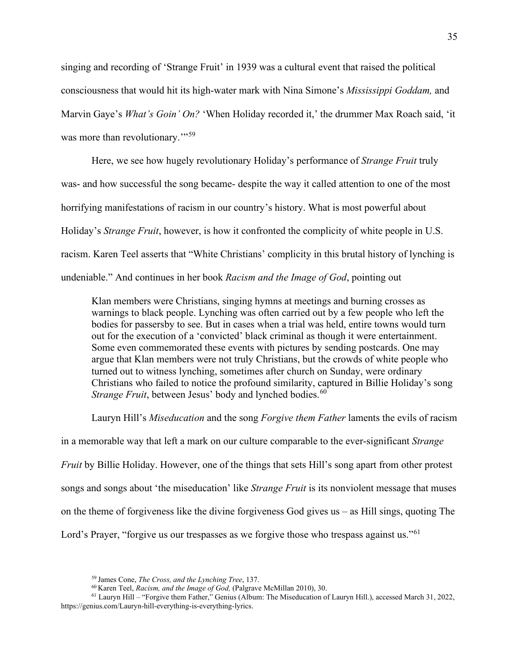singing and recording of 'Strange Fruit' in 1939 was a cultural event that raised the political consciousness that would hit its high-water mark with Nina Simone's *Mississippi Goddam,* and Marvin Gaye's *What's Goin' On?* 'When Holiday recorded it,' the drummer Max Roach said, 'it was more than revolutionary."<sup>[59](#page-35-0)</sup>

Here, we see how hugely revolutionary Holiday's performance of *Strange Fruit* truly was- and how successful the song became- despite the way it called attention to one of the most horrifying manifestations of racism in our country's history. What is most powerful about Holiday's *Strange Fruit*, however, is how it confronted the complicity of white people in U.S. racism. Karen Teel asserts that "White Christians' complicity in this brutal history of lynching is undeniable." And continues in her book *Racism and the Image of God*, pointing out

Klan members were Christians, singing hymns at meetings and burning crosses as warnings to black people. Lynching was often carried out by a few people who left the bodies for passersby to see. But in cases when a trial was held, entire towns would turn out for the execution of a 'convicted' black criminal as though it were entertainment. Some even commemorated these events with pictures by sending postcards. One may argue that Klan members were not truly Christians, but the crowds of white people who turned out to witness lynching, sometimes after church on Sunday, were ordinary Christians who failed to notice the profound similarity, captured in Billie Holiday's song Strange Fruit, between Jesus' body and lynched bodies.<sup>[60](#page-35-1)</sup>

Lauryn Hill's *Miseducation* and the song *Forgive them Father* laments the evils of racism

in a memorable way that left a mark on our culture comparable to the ever-significant *Strange Fruit* by Billie Holiday. However, one of the things that sets Hill's song apart from other protest songs and songs about 'the miseducation' like *Strange Fruit* is its nonviolent message that muses on the theme of forgiveness like the divine forgiveness God gives us – as Hill sings, quoting The Lord's Prayer, "forgive us our trespasses as we forgive those who trespass against us."<sup>[61](#page-35-2)</sup>

<sup>59</sup> James Cone, *The Cross, and the Lynching Tree*, 137.

<sup>60</sup> Karen Teel, *Racism, and the Image of God,* (Palgrave McMillan 2010), 30.

<span id="page-35-2"></span><span id="page-35-1"></span><span id="page-35-0"></span><sup>61</sup> Lauryn Hill – "Forgive them Father," Genius (Album: The Miseducation of Lauryn Hill.), accessed March 31, 2022, https://genius.com/Lauryn-hill-everything-is-everything-lyrics.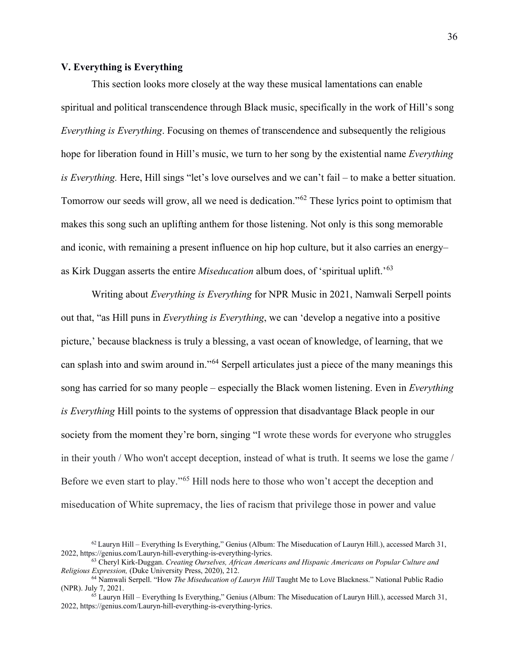# <span id="page-36-0"></span>**V. Everything is Everything**

This section looks more closely at the way these musical lamentations can enable spiritual and political transcendence through Black music, specifically in the work of Hill's song *Everything is Everything*. Focusing on themes of transcendence and subsequently the religious hope for liberation found in Hill's music, we turn to her song by the existential name *Everything is Everything.* Here, Hill sings "let's love ourselves and we can't fail – to make a better situation. Tomorrow our seeds will grow, all we need is dedication."[62](#page-36-1) These lyrics point to optimism that makes this song such an uplifting anthem for those listening. Not only is this song memorable and iconic, with remaining a present influence on hip hop culture, but it also carries an energy– as Kirk Duggan asserts the entire *Miseducation* album does, of 'spiritual uplift.' [63](#page-36-2)

Writing about *Everything is Everything* for NPR Music in 2021, Namwali Serpell points out that, "as Hill puns in *Everything is Everything*, we can 'develop a negative into a positive picture,' because blackness is truly a blessing, a vast ocean of knowledge, of learning, that we can splash into and swim around in."[64](#page-36-3) Serpell articulates just a piece of the many meanings this song has carried for so many people – especially the Black women listening. Even in *Everything is Everything* Hill points to the systems of oppression that disadvantage Black people in our society from the moment they're born, singing "I wrote these words for everyone who struggles in their youth / Who won't accept deception, instead of what is truth. It seems we lose the game / Before we even start to play."<sup>65</sup> Hill nods here to those who won't accept the deception and miseducation of White supremacy, the lies of racism that privilege those in power and value

<span id="page-36-1"></span> $^{62}$  Lauryn Hill – Everything Is Everything," Genius (Album: The Miseducation of Lauryn Hill.), accessed March 31, 2022, https://genius.com/Lauryn-hill-everything-is-everything-lyrics.

<span id="page-36-2"></span><sup>&</sup>lt;sup>63</sup> Cheryl Kirk-Duggan. *Creating Ourselves, African Americans and Hispanic Americans on Popular Culture and Religious Expression,* (Duke University Press, 2020), 212.

<span id="page-36-3"></span><sup>64</sup> Namwali Serpell. "How *The Miseducation of Lauryn Hill* Taught Me to Love Blackness." National Public Radio (NPR). July 7, 2021.

<span id="page-36-4"></span> $65$  Lauryn Hill – Everything Is Everything," Genius (Album: The Miseducation of Lauryn Hill.), accessed March 31, 2022, https://genius.com/Lauryn-hill-everything-is-everything-lyrics.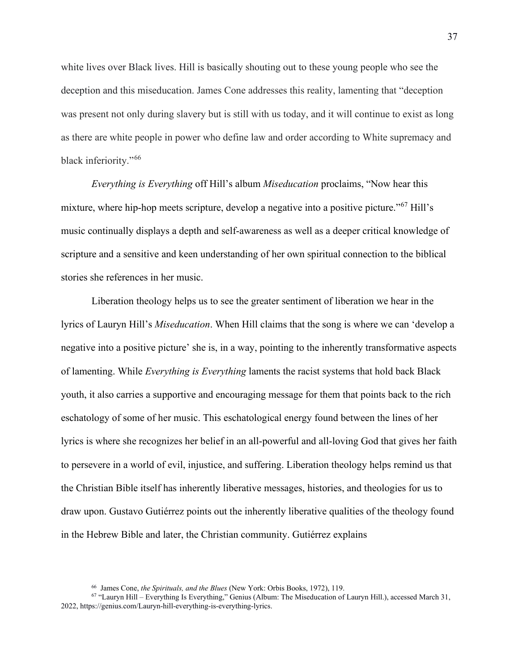white lives over Black lives. Hill is basically shouting out to these young people who see the deception and this miseducation. James Cone addresses this reality, lamenting that "deception was present not only during slavery but is still with us today, and it will continue to exist as long as there are white people in power who define law and order according to White supremacy and black inferiority."<sup>[66](#page-37-0)</sup>

*Everything is Everything* off Hill's album *Miseducation* proclaims, "Now hear this mixture, where hip-hop meets scripture, develop a negative into a positive picture."<sup>[67](#page-37-1)</sup> Hill's music continually displays a depth and self-awareness as well as a deeper critical knowledge of scripture and a sensitive and keen understanding of her own spiritual connection to the biblical stories she references in her music.

Liberation theology helps us to see the greater sentiment of liberation we hear in the lyrics of Lauryn Hill's *Miseducation*. When Hill claims that the song is where we can 'develop a negative into a positive picture' she is, in a way, pointing to the inherently transformative aspects of lamenting. While *Everything is Everything* laments the racist systems that hold back Black youth, it also carries a supportive and encouraging message for them that points back to the rich eschatology of some of her music. This eschatological energy found between the lines of her lyrics is where she recognizes her belief in an all-powerful and all-loving God that gives her faith to persevere in a world of evil, injustice, and suffering. Liberation theology helps remind us that the Christian Bible itself has inherently liberative messages, histories, and theologies for us to draw upon. Gustavo Gutiérrez points out the inherently liberative qualities of the theology found in the Hebrew Bible and later, the Christian community. Gutiérrez explains

<sup>66</sup> James Cone, *the Spirituals, and the Blues* (New York: Orbis Books, 1972), 119.

<span id="page-37-1"></span><span id="page-37-0"></span><sup>67</sup> "Lauryn Hill – Everything Is Everything," Genius (Album: The Miseducation of Lauryn Hill.), accessed March 31, 2022, https://genius.com/Lauryn-hill-everything-is-everything-lyrics.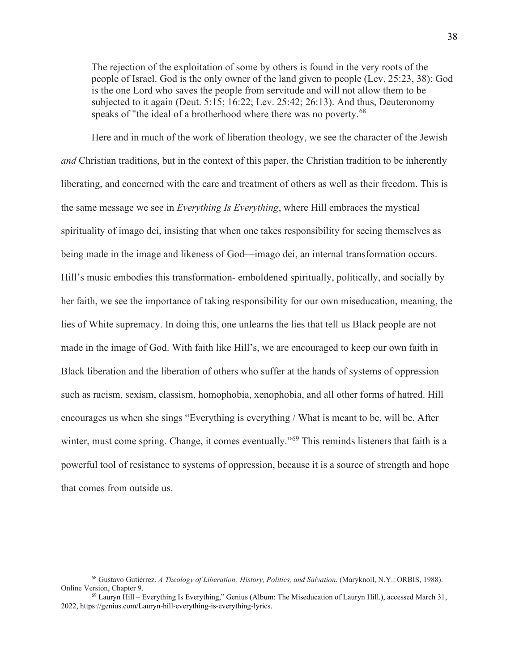The rejection of the exploitation of some by others is found in the very roots of the people of Israel. God is the only owner of the land given to people (Lev. 25:23, 38); God is the one Lord who saves the people from servitude and will not allow them to be subjected to it again (Deut. 5:15; 16:22; Lev. 25:42; 26:13). And thus, Deuteronomy speaks of "the ideal of a brotherhood where there was no poverty.<sup>[68](#page-38-0)</sup>

Here and in much of the work of liberation theology, we see the character of the Jewish *and* Christian traditions, but in the context of this paper, the Christian tradition to be inherently liberating, and concerned with the care and treatment of others as well as their freedom. This is the same message we see in *Everything Is Everything*, where Hill embraces the mystical spirituality of imago dei, insisting that when one takes responsibility for seeing themselves as being made in the image and likeness of God—imago dei, an internal transformation occurs. Hill's music embodies this transformation- emboldened spiritually, politically, and socially by her faith, we see the importance of taking responsibility for our own miseducation, meaning, the lies of White supremacy. In doing this, one unlearns the lies that tell us Black people are not made in the image of God. With faith like Hill's, we are encouraged to keep our own faith in Black liberation and the liberation of others who suffer at the hands of systems of oppression such as racism, sexism, classism, homophobia, xenophobia, and all other forms of hatred. Hill encourages us when she sings "Everything is everything / What is meant to be, will be. After winter, must come spring. Change, it comes eventually."<sup>[69](#page-38-1)</sup> This reminds listeners that faith is a powerful tool of resistance to systems of oppression, because it is a source of strength and hope that comes from outside us.

<span id="page-38-0"></span><sup>68</sup> Gustavo Gutiérrez. *A Theology of Liberation: History, Politics, and Salvation*. (Maryknoll, N.Y.: ORBIS, 1988).

<span id="page-38-1"></span> $^{69}$  Lauryn Hill – Everything Is Everything," Genius (Album: The Miseducation of Lauryn Hill.), accessed March 31, 2022, https://genius.com/Lauryn-hill-everything-is-everything-lyrics.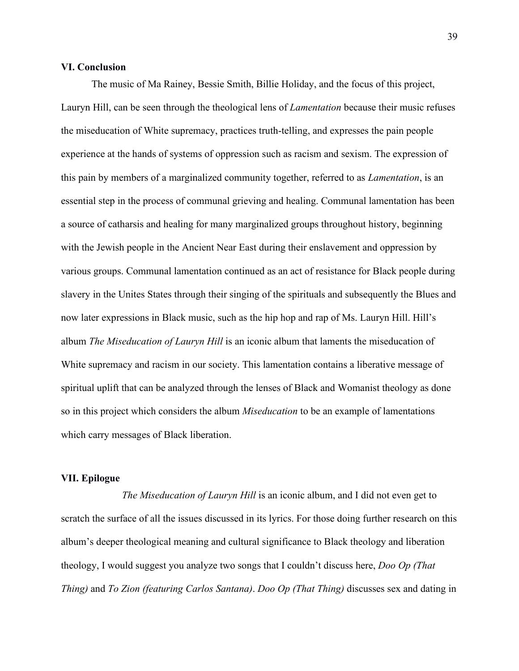# <span id="page-39-0"></span>**VI. Conclusion**

The music of Ma Rainey, Bessie Smith, Billie Holiday, and the focus of this project, Lauryn Hill, can be seen through the theological lens of *Lamentation* because their music refuses the miseducation of White supremacy, practices truth-telling, and expresses the pain people experience at the hands of systems of oppression such as racism and sexism. The expression of this pain by members of a marginalized community together, referred to as *Lamentation*, is an essential step in the process of communal grieving and healing. Communal lamentation has been a source of catharsis and healing for many marginalized groups throughout history, beginning with the Jewish people in the Ancient Near East during their enslavement and oppression by various groups. Communal lamentation continued as an act of resistance for Black people during slavery in the Unites States through their singing of the spirituals and subsequently the Blues and now later expressions in Black music, such as the hip hop and rap of Ms. Lauryn Hill. Hill's album *The Miseducation of Lauryn Hill* is an iconic album that laments the miseducation of White supremacy and racism in our society. This lamentation contains a liberative message of spiritual uplift that can be analyzed through the lenses of Black and Womanist theology as done so in this project which considers the album *Miseducation* to be an example of lamentations which carry messages of Black liberation.

# <span id="page-39-1"></span>**VII. Epilogue**

*The Miseducation of Lauryn Hill* is an iconic album, and I did not even get to scratch the surface of all the issues discussed in its lyrics. For those doing further research on this album's deeper theological meaning and cultural significance to Black theology and liberation theology, I would suggest you analyze two songs that I couldn't discuss here, *Doo Op (That Thing)* and *To Zion (featuring Carlos Santana)*. *Doo Op (That Thing)* discusses sex and dating in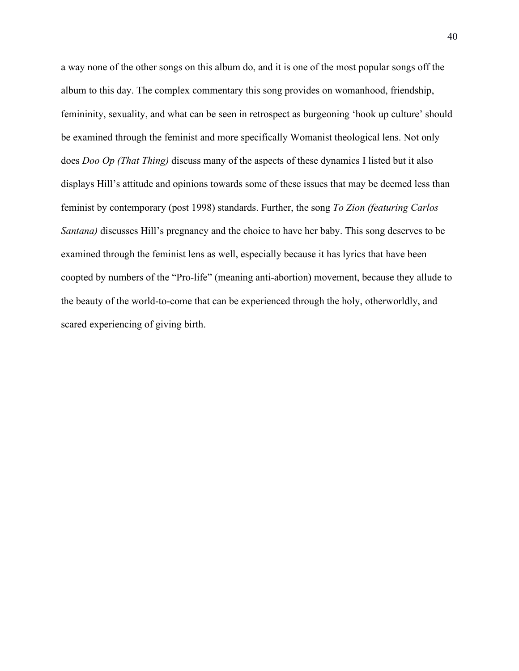a way none of the other songs on this album do, and it is one of the most popular songs off the album to this day. The complex commentary this song provides on womanhood, friendship, femininity, sexuality, and what can be seen in retrospect as burgeoning 'hook up culture' should be examined through the feminist and more specifically Womanist theological lens. Not only does *Doo Op (That Thing)* discuss many of the aspects of these dynamics I listed but it also displays Hill's attitude and opinions towards some of these issues that may be deemed less than feminist by contemporary (post 1998) standards. Further, the song *To Zion (featuring Carlos Santana)* discusses Hill's pregnancy and the choice to have her baby. This song deserves to be examined through the feminist lens as well, especially because it has lyrics that have been coopted by numbers of the "Pro-life" (meaning anti-abortion) movement, because they allude to the beauty of the world-to-come that can be experienced through the holy, otherworldly, and scared experiencing of giving birth.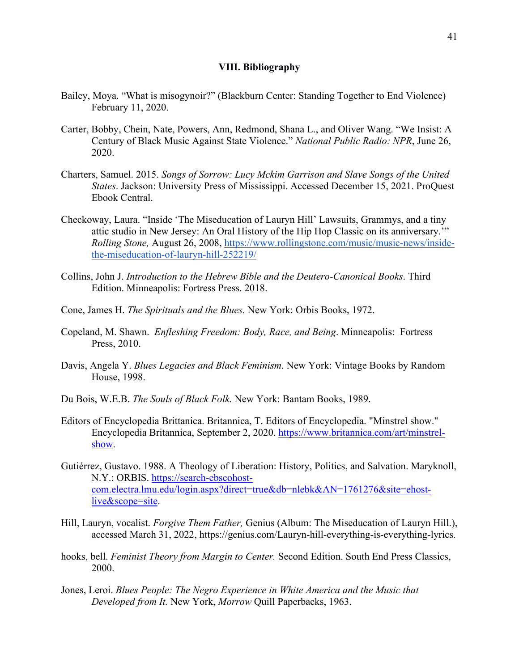#### **VIII. Bibliography**

- <span id="page-41-0"></span>Bailey, Moya. "What is misogynoir?" (Blackburn Center: Standing Together to End Violence) February 11, 2020.
- Carter, Bobby, Chein, Nate, Powers, Ann, Redmond, Shana L., and Oliver Wang. "We Insist: A Century of Black Music Against State Violence." *National Public Radio: NPR*, June 26, 2020.
- Charters, Samuel. 2015. *Songs of Sorrow: Lucy Mckim Garrison and Slave Songs of the United States*. Jackson: University Press of Mississippi. Accessed December 15, 2021. ProQuest Ebook Central.
- Checkoway, Laura. "Inside 'The Miseducation of Lauryn Hill' Lawsuits, Grammys, and a tiny attic studio in New Jersey: An Oral History of the Hip Hop Classic on its anniversary.'" *Rolling Stone,* August 26, 2008, https://www.rollingstone.com/music/music-news/insidethe-miseducation-of-lauryn-hill-252219/
- Collins, John J. *Introduction to the Hebrew Bible and the Deutero-Canonical Books*. Third Edition. Minneapolis: Fortress Press. 2018.
- Cone, James H. *The Spirituals and the Blues.* New York: Orbis Books, 1972.
- Copeland, M. Shawn. *Enfleshing Freedom: Body, Race, and Being*. Minneapolis: Fortress Press, 2010.
- Davis, Angela Y. *Blues Legacies and Black Feminism.* New York: Vintage Books by Random House, 1998.
- Du Bois, W.E.B. *The Souls of Black Folk.* New York: Bantam Books, 1989.
- Editors of Encyclopedia Brittanica. Britannica, T. Editors of Encyclopedia. "Minstrel show." Encyclopedia Britannica, September 2, 2020. https://www.britannica.com/art/minstrelshow.
- Gutiérrez, Gustavo. 1988. A Theology of Liberation: History, Politics, and Salvation. Maryknoll, N.Y.: ORBIS. https://search-ebscohostcom.electra.lmu.edu/login.aspx?direct=true&db=nlebk&AN=1761276&site=ehostlive&scope=site.
- Hill, Lauryn, vocalist. *Forgive Them Father,* Genius (Album: The Miseducation of Lauryn Hill.), accessed March 31, 2022, https://genius.com/Lauryn-hill-everything-is-everything-lyrics.
- hooks, bell. *Feminist Theory from Margin to Center.* Second Edition. South End Press Classics, 2000.
- Jones, Leroi. *Blues People: The Negro Experience in White America and the Music that Developed from It.* New York, *Morrow* Quill Paperbacks, 1963.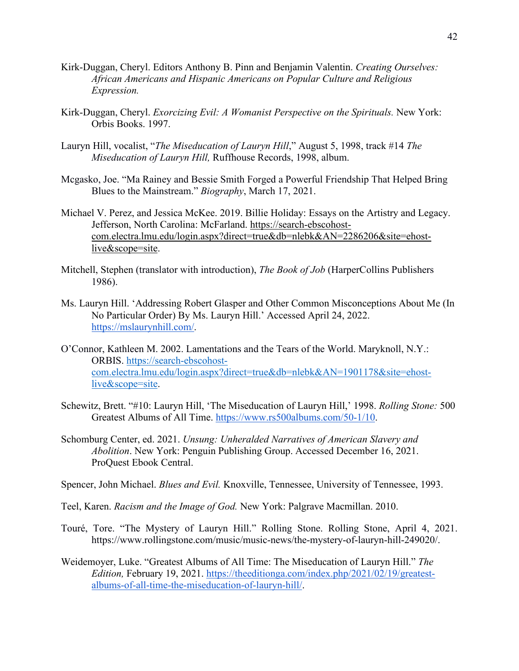- Kirk-Duggan, Cheryl. Editors Anthony B. Pinn and Benjamin Valentin. *Creating Ourselves: African Americans and Hispanic Americans on Popular Culture and Religious Expression.*
- Kirk-Duggan, Cheryl. *Exorcizing Evil: A Womanist Perspective on the Spirituals.* New York: Orbis Books. 1997.
- Lauryn Hill, vocalist, "*The Miseducation of Lauryn Hill*," August 5, 1998, track #14 *The Miseducation of Lauryn Hill,* Ruffhouse Records, 1998, album.
- Mcgasko, Joe. "Ma Rainey and Bessie Smith Forged a Powerful Friendship That Helped Bring Blues to the Mainstream." *Biography*, March 17, 2021.
- Michael V. Perez, and Jessica McKee. 2019. Billie Holiday: Essays on the Artistry and Legacy. Jefferson, North Carolina: McFarland. https://search-ebscohostcom.electra.lmu.edu/login.aspx?direct=true&db=nlebk&AN=2286206&site=ehostlive&scope=site.
- Mitchell, Stephen (translator with introduction), *The Book of Job* (HarperCollins Publishers 1986).
- Ms. Lauryn Hill. 'Addressing Robert Glasper and Other Common Misconceptions About Me (In No Particular Order) By Ms. Lauryn Hill.' Accessed April 24, 2022. https://mslaurynhill.com/.
- O'Connor, Kathleen M. 2002. Lamentations and the Tears of the World. Maryknoll, N.Y.: ORBIS. https://search-ebscohostcom.electra.lmu.edu/login.aspx?direct=true&db=nlebk&AN=1901178&site=ehostlive&scope=site.
- Schewitz, Brett. "#10: Lauryn Hill, 'The Miseducation of Lauryn Hill,' 1998. *Rolling Stone:* 500 Greatest Albums of All Time. https://www.rs500albums.com/50-1/10.
- Schomburg Center, ed. 2021. *Unsung: Unheralded Narratives of American Slavery and Abolition*. New York: Penguin Publishing Group. Accessed December 16, 2021. ProQuest Ebook Central.
- Spencer, John Michael. *Blues and Evil.* Knoxville, Tennessee, University of Tennessee, 1993.
- Teel, Karen. *Racism and the Image of God.* New York: Palgrave Macmillan. 2010.
- Touré, Tore. "The Mystery of Lauryn Hill." Rolling Stone. Rolling Stone, April 4, 2021. https://www.rollingstone.com/music/music-news/the-mystery-of-lauryn-hill-249020/.
- Weidemoyer, Luke. "Greatest Albums of All Time: The Miseducation of Lauryn Hill." *The Edition,* February 19, 2021. https://theeditionga.com/index.php/2021/02/19/greatestalbums-of-all-time-the-miseducation-of-lauryn-hill/.